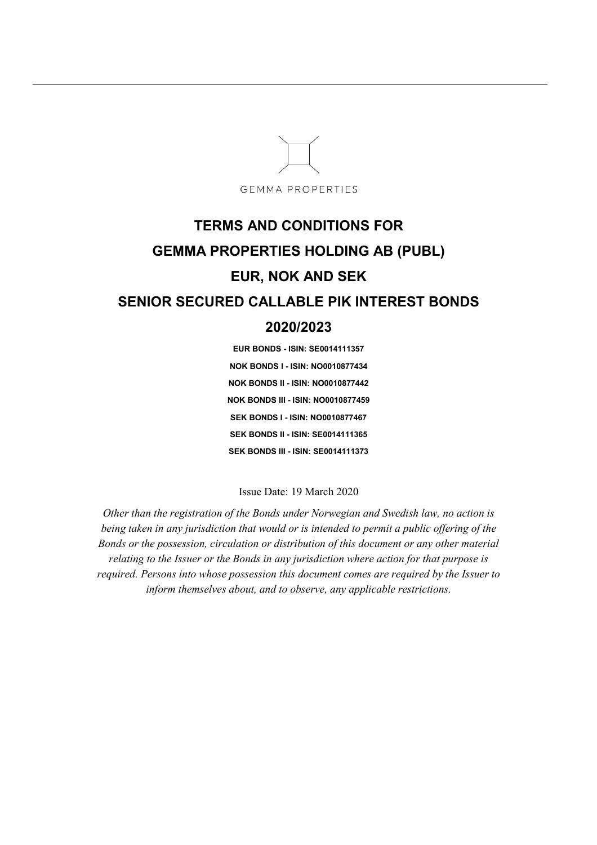

# **TERMS AND CONDITIONS FOR GEMMA PROPERTIES HOLDING AB (PUBL) EUR, NOK AND SEK SENIOR SECURED CALLABLE PIK INTEREST BONDS 2020/2023**

**EUR BONDS - ISIN: SE0014111357 NOK BONDS I - ISIN: NO0010877434 NOK BONDS II - ISIN: NO0010877442 NOK BONDS III - ISIN: NO0010877459 SEK BONDS I - ISIN: NO0010877467 SEK BONDS II - ISIN: SE0014111365 SEK BONDS III - ISIN: SE0014111373** 

Issue Date: 19 March 2020

*Other than the registration of the Bonds under Norwegian and Swedish law, no action is being taken in any jurisdiction that would or is intended to permit a public offering of the Bonds or the possession, circulation or distribution of this document or any other material relating to the Issuer or the Bonds in any jurisdiction where action for that purpose is required. Persons into whose possession this document comes are required by the Issuer to inform themselves about, and to observe, any applicable restrictions.*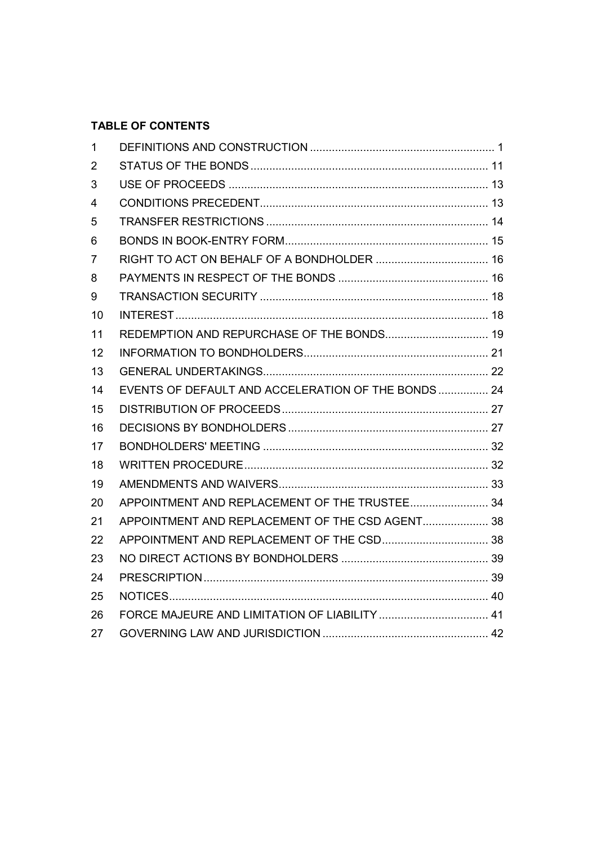# **TABLE OF CONTENTS**

| $\mathbf{1}$   |                                                     |  |
|----------------|-----------------------------------------------------|--|
| 2              |                                                     |  |
| 3              |                                                     |  |
| 4              |                                                     |  |
| 5              |                                                     |  |
| 6              |                                                     |  |
| $\overline{7}$ |                                                     |  |
| 8              |                                                     |  |
| 9              |                                                     |  |
| 10             |                                                     |  |
| 11             | REDEMPTION AND REPURCHASE OF THE BONDS 19           |  |
| 12             |                                                     |  |
| 13             |                                                     |  |
| 14             | EVENTS OF DEFAULT AND ACCELERATION OF THE BONDS  24 |  |
| 15             |                                                     |  |
| 16             |                                                     |  |
| 17             |                                                     |  |
| 18             |                                                     |  |
| 19             |                                                     |  |
| 20             | APPOINTMENT AND REPLACEMENT OF THE TRUSTEE 34       |  |
| 21             | APPOINTMENT AND REPLACEMENT OF THE CSD AGENT 38     |  |
| 22             |                                                     |  |
| 23             |                                                     |  |
| 24             |                                                     |  |
| 25             |                                                     |  |
| 26             |                                                     |  |
| 27             |                                                     |  |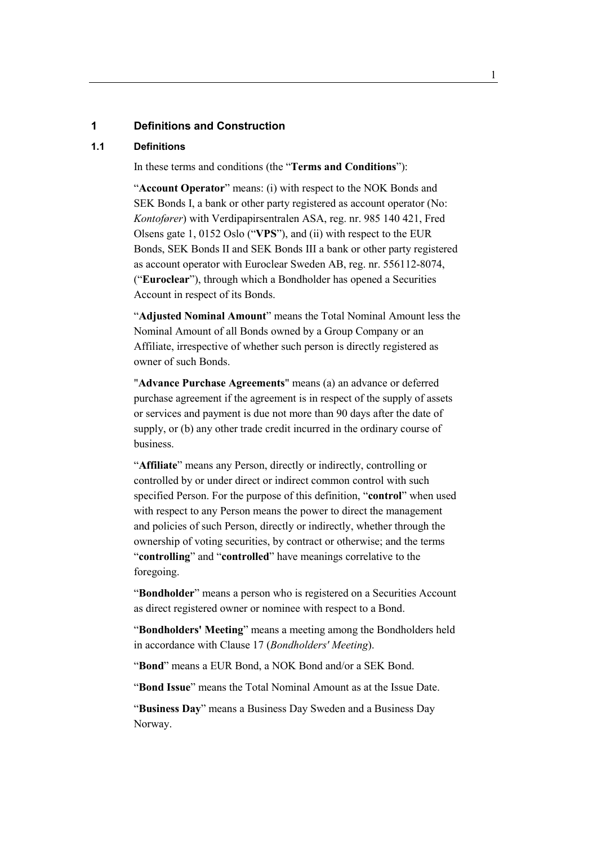#### **1 Definitions and Construction**

#### **1.1 Definitions**

In these terms and conditions (the "**Terms and Conditions**"):

"**Account Operator**" means: (i) with respect to the NOK Bonds and SEK Bonds I, a bank or other party registered as account operator (No: *Kontofører*) with Verdipapirsentralen ASA, reg. nr. 985 140 421, Fred Olsens gate 1, 0152 Oslo ("**VPS**"), and (ii) with respect to the EUR Bonds, SEK Bonds II and SEK Bonds III a bank or other party registered as account operator with Euroclear Sweden AB, reg. nr. 556112-8074, ("**Euroclear**"), through which a Bondholder has opened a Securities Account in respect of its Bonds.

"**Adjusted Nominal Amount**" means the Total Nominal Amount less the Nominal Amount of all Bonds owned by a Group Company or an Affiliate, irrespective of whether such person is directly registered as owner of such Bonds.

"**Advance Purchase Agreements**" means (a) an advance or deferred purchase agreement if the agreement is in respect of the supply of assets or services and payment is due not more than 90 days after the date of supply, or (b) any other trade credit incurred in the ordinary course of business.

"**Affiliate**" means any Person, directly or indirectly, controlling or controlled by or under direct or indirect common control with such specified Person. For the purpose of this definition, "**control**" when used with respect to any Person means the power to direct the management and policies of such Person, directly or indirectly, whether through the ownership of voting securities, by contract or otherwise; and the terms "**controlling**" and "**controlled**" have meanings correlative to the foregoing.

"**Bondholder**" means a person who is registered on a Securities Account as direct registered owner or nominee with respect to a Bond.

"**Bondholders' Meeting**" means a meeting among the Bondholders held in accordance with Clause 17 (*Bondholders' Meeting*).

"**Bond**" means a EUR Bond, a NOK Bond and/or a SEK Bond.

"**Bond Issue**" means the Total Nominal Amount as at the Issue Date.

"**Business Day**" means a Business Day Sweden and a Business Day Norway.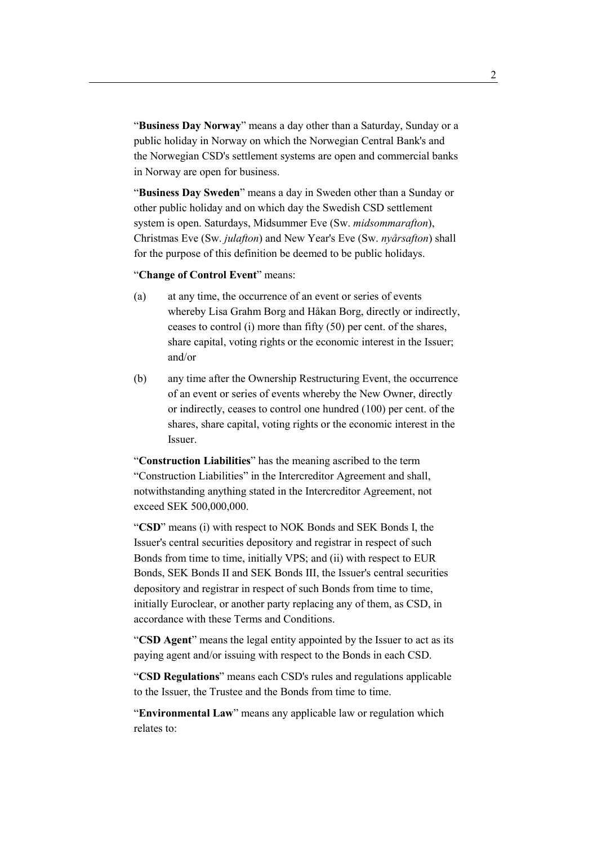"**Business Day Norway**" means a day other than a Saturday, Sunday or a public holiday in Norway on which the Norwegian Central Bank's and the Norwegian CSD's settlement systems are open and commercial banks in Norway are open for business.

"**Business Day Sweden**" means a day in Sweden other than a Sunday or other public holiday and on which day the Swedish CSD settlement system is open. Saturdays, Midsummer Eve (Sw. *midsommarafton*), Christmas Eve (Sw. *julafton*) and New Year's Eve (Sw. *nyårsafton*) shall for the purpose of this definition be deemed to be public holidays.

"**Change of Control Event**" means:

- (a) at any time, the occurrence of an event or series of events whereby Lisa Grahm Borg and Håkan Borg, directly or indirectly, ceases to control (i) more than fifty (50) per cent. of the shares, share capital, voting rights or the economic interest in the Issuer; and/or
- (b) any time after the Ownership Restructuring Event, the occurrence of an event or series of events whereby the New Owner, directly or indirectly, ceases to control one hundred (100) per cent. of the shares, share capital, voting rights or the economic interest in the Issuer.

"**Construction Liabilities**" has the meaning ascribed to the term "Construction Liabilities" in the Intercreditor Agreement and shall, notwithstanding anything stated in the Intercreditor Agreement, not exceed SEK 500,000,000.

"**CSD**" means (i) with respect to NOK Bonds and SEK Bonds I, the Issuer's central securities depository and registrar in respect of such Bonds from time to time, initially VPS; and (ii) with respect to EUR Bonds, SEK Bonds II and SEK Bonds III, the Issuer's central securities depository and registrar in respect of such Bonds from time to time, initially Euroclear, or another party replacing any of them, as CSD, in accordance with these Terms and Conditions.

"**CSD Agent**" means the legal entity appointed by the Issuer to act as its paying agent and/or issuing with respect to the Bonds in each CSD.

"**CSD Regulations**" means each CSD's rules and regulations applicable to the Issuer, the Trustee and the Bonds from time to time.

"**Environmental Law**" means any applicable law or regulation which relates to: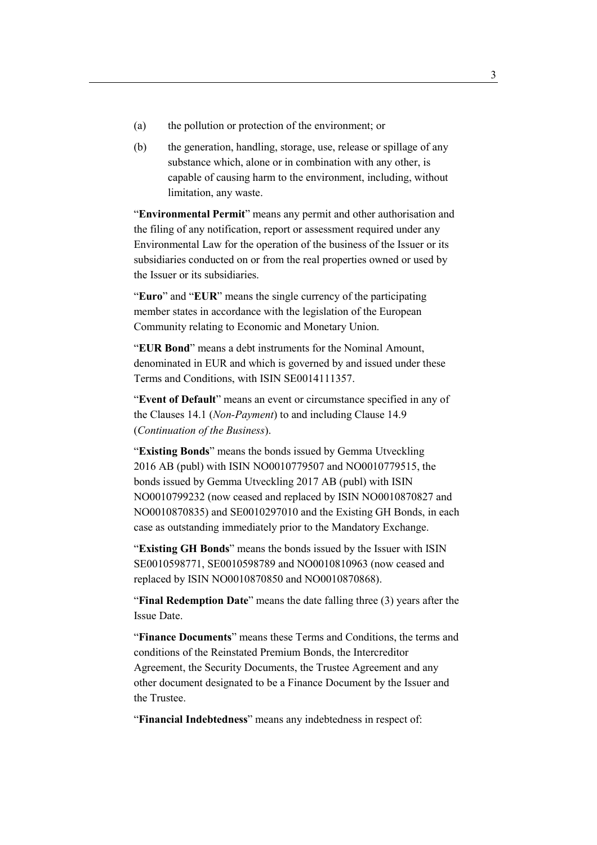- (a) the pollution or protection of the environment; or
- (b) the generation, handling, storage, use, release or spillage of any substance which, alone or in combination with any other, is capable of causing harm to the environment, including, without limitation, any waste.

"**Environmental Permit**" means any permit and other authorisation and the filing of any notification, report or assessment required under any Environmental Law for the operation of the business of the Issuer or its subsidiaries conducted on or from the real properties owned or used by the Issuer or its subsidiaries.

"**Euro**" and "**EUR**" means the single currency of the participating member states in accordance with the legislation of the European Community relating to Economic and Monetary Union.

"**EUR Bond**" means a debt instruments for the Nominal Amount, denominated in EUR and which is governed by and issued under these Terms and Conditions, with ISIN SE0014111357.

"**Event of Default**" means an event or circumstance specified in any of the Clauses 14.1 (*Non-Payment*) to and including Clause 14.9 (*Continuation of the Business*).

"**Existing Bonds**" means the bonds issued by Gemma Utveckling 2016 AB (publ) with ISIN NO0010779507 and NO0010779515, the bonds issued by Gemma Utveckling 2017 AB (publ) with ISIN NO0010799232 (now ceased and replaced by ISIN NO0010870827 and NO0010870835) and SE0010297010 and the Existing GH Bonds, in each case as outstanding immediately prior to the Mandatory Exchange.

"**Existing GH Bonds**" means the bonds issued by the Issuer with ISIN SE0010598771, SE0010598789 and NO0010810963 (now ceased and replaced by ISIN NO0010870850 and NO0010870868).

"**Final Redemption Date**" means the date falling three (3) years after the Issue Date.

"**Finance Documents**" means these Terms and Conditions, the terms and conditions of the Reinstated Premium Bonds, the Intercreditor Agreement, the Security Documents, the Trustee Agreement and any other document designated to be a Finance Document by the Issuer and the Trustee.

"**Financial Indebtedness**" means any indebtedness in respect of: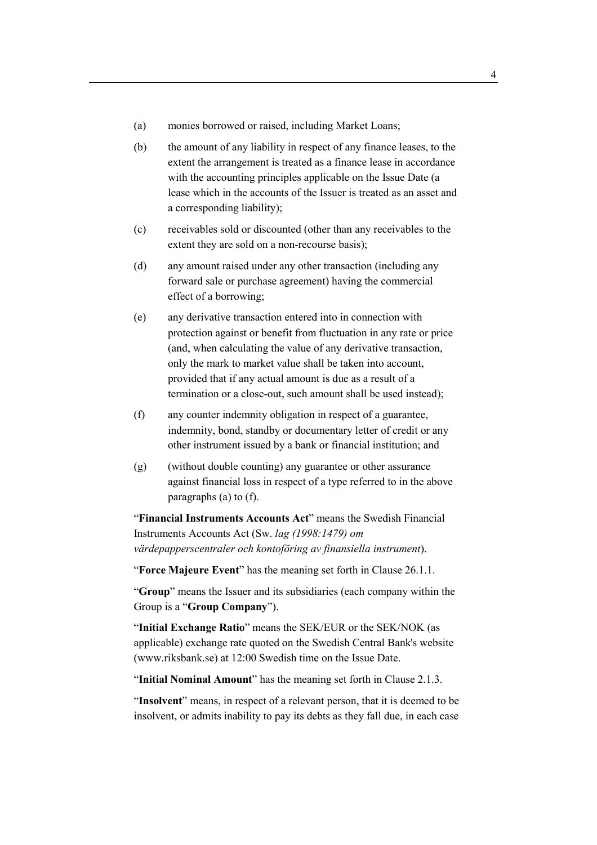- (a) monies borrowed or raised, including Market Loans;
- (b) the amount of any liability in respect of any finance leases, to the extent the arrangement is treated as a finance lease in accordance with the accounting principles applicable on the Issue Date (a lease which in the accounts of the Issuer is treated as an asset and a corresponding liability);
- (c) receivables sold or discounted (other than any receivables to the extent they are sold on a non-recourse basis);
- (d) any amount raised under any other transaction (including any forward sale or purchase agreement) having the commercial effect of a borrowing;
- (e) any derivative transaction entered into in connection with protection against or benefit from fluctuation in any rate or price (and, when calculating the value of any derivative transaction, only the mark to market value shall be taken into account, provided that if any actual amount is due as a result of a termination or a close-out, such amount shall be used instead);
- (f) any counter indemnity obligation in respect of a guarantee, indemnity, bond, standby or documentary letter of credit or any other instrument issued by a bank or financial institution; and
- (g) (without double counting) any guarantee or other assurance against financial loss in respect of a type referred to in the above paragraphs (a) to (f).

"**Financial Instruments Accounts Act**" means the Swedish Financial Instruments Accounts Act (Sw. *lag (1998:1479) om värdepapperscentraler och kontoföring av finansiella instrument*).

"**Force Majeure Event**" has the meaning set forth in Clause 26.1.1.

"**Group**" means the Issuer and its subsidiaries (each company within the Group is a "**Group Company**").

"**Initial Exchange Ratio**" means the SEK/EUR or the SEK/NOK (as applicable) exchange rate quoted on the Swedish Central Bank's website (www.riksbank.se) at 12:00 Swedish time on the Issue Date.

"**Initial Nominal Amount**" has the meaning set forth in Clause 2.1.3.

"**Insolvent**" means, in respect of a relevant person, that it is deemed to be insolvent, or admits inability to pay its debts as they fall due, in each case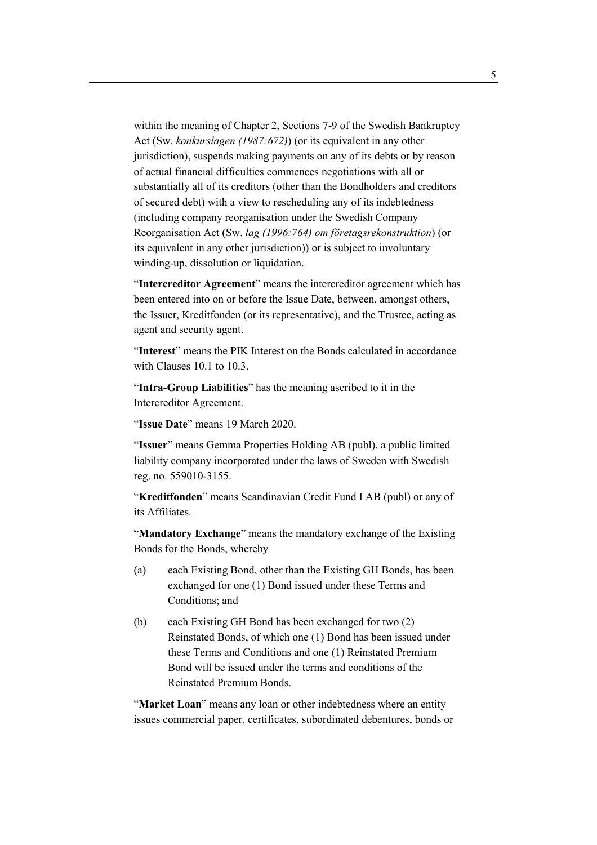within the meaning of Chapter 2, Sections 7-9 of the Swedish Bankruptcy Act (Sw. *konkurslagen (1987:672)*) (or its equivalent in any other jurisdiction), suspends making payments on any of its debts or by reason of actual financial difficulties commences negotiations with all or substantially all of its creditors (other than the Bondholders and creditors of secured debt) with a view to rescheduling any of its indebtedness (including company reorganisation under the Swedish Company Reorganisation Act (Sw. *lag (1996:764) om företagsrekonstruktion*) (or its equivalent in any other jurisdiction)) or is subject to involuntary winding-up, dissolution or liquidation.

"**Intercreditor Agreement**" means the intercreditor agreement which has been entered into on or before the Issue Date, between, amongst others, the Issuer, Kreditfonden (or its representative), and the Trustee, acting as agent and security agent.

"**Interest**" means the PIK Interest on the Bonds calculated in accordance with Clauses 10.1 to 10.3.

"**Intra-Group Liabilities**" has the meaning ascribed to it in the Intercreditor Agreement.

"**Issue Date**" means 19 March 2020.

"**Issuer**" means Gemma Properties Holding AB (publ), a public limited liability company incorporated under the laws of Sweden with Swedish reg. no. 559010-3155.

"**Kreditfonden**" means Scandinavian Credit Fund I AB (publ) or any of its Affiliates.

"**Mandatory Exchange**" means the mandatory exchange of the Existing Bonds for the Bonds, whereby

- (a) each Existing Bond, other than the Existing GH Bonds, has been exchanged for one (1) Bond issued under these Terms and Conditions; and
- (b) each Existing GH Bond has been exchanged for two (2) Reinstated Bonds, of which one (1) Bond has been issued under these Terms and Conditions and one (1) Reinstated Premium Bond will be issued under the terms and conditions of the Reinstated Premium Bonds.

"**Market Loan**" means any loan or other indebtedness where an entity issues commercial paper, certificates, subordinated debentures, bonds or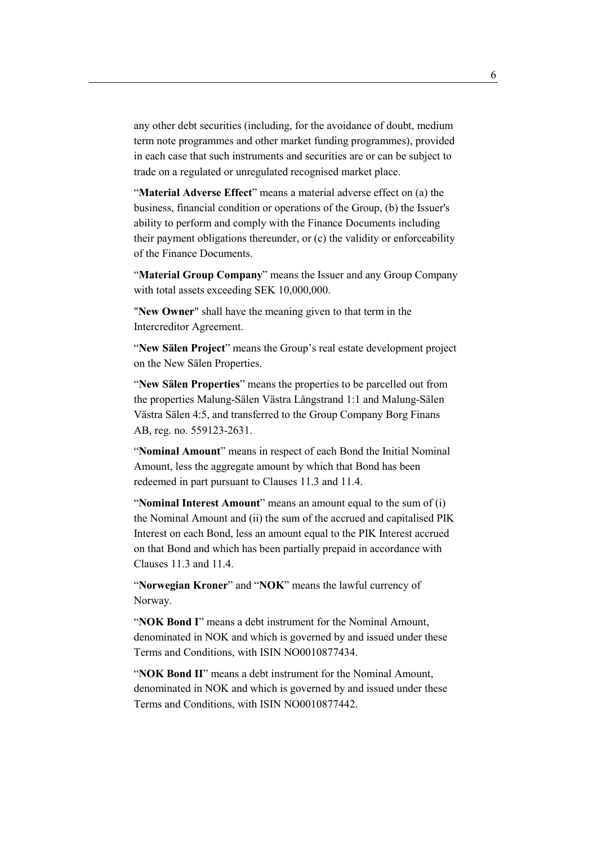any other debt securities (including, for the avoidance of doubt, medium term note programmes and other market funding programmes), provided in each case that such instruments and securities are or can be subject to trade on a regulated or unregulated recognised market place.

"**Material Adverse Effect**" means a material adverse effect on (a) the business, financial condition or operations of the Group, (b) the Issuer's ability to perform and comply with the Finance Documents including their payment obligations thereunder, or (c) the validity or enforceability of the Finance Documents.

"**Material Group Company**" means the Issuer and any Group Company with total assets exceeding SEK 10,000,000.

"**New Owner**" shall have the meaning given to that term in the Intercreditor Agreement.

"**New Sälen Project**" means the Group's real estate development project on the New Sälen Properties.

"**New Sälen Properties**" means the properties to be parcelled out from the properties Malung-Sälen Västra Långstrand 1:1 and Malung-Sälen Västra Sälen 4:5, and transferred to the Group Company Borg Finans AB, reg. no. 559123-2631.

"**Nominal Amount**" means in respect of each Bond the Initial Nominal Amount, less the aggregate amount by which that Bond has been redeemed in part pursuant to Clauses 11.3 and 11.4.

"**Nominal Interest Amount**" means an amount equal to the sum of (i) the Nominal Amount and (ii) the sum of the accrued and capitalised PIK Interest on each Bond, less an amount equal to the PIK Interest accrued on that Bond and which has been partially prepaid in accordance with Clauses 11.3 and 11.4.

"**Norwegian Kroner**" and "**NOK**" means the lawful currency of Norway.

"**NOK Bond I**" means a debt instrument for the Nominal Amount, denominated in NOK and which is governed by and issued under these Terms and Conditions, with ISIN NO0010877434.

"**NOK Bond II**" means a debt instrument for the Nominal Amount, denominated in NOK and which is governed by and issued under these Terms and Conditions, with ISIN NO0010877442.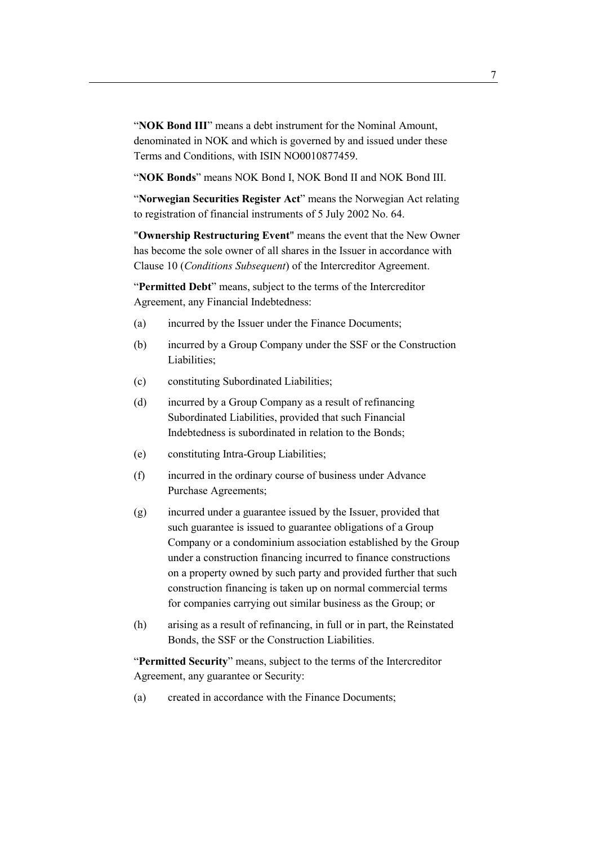"**NOK Bond III**" means a debt instrument for the Nominal Amount, denominated in NOK and which is governed by and issued under these Terms and Conditions, with ISIN NO0010877459.

"**NOK Bonds**" means NOK Bond I, NOK Bond II and NOK Bond III.

"**Norwegian Securities Register Act**" means the Norwegian Act relating to registration of financial instruments of 5 July 2002 No. 64.

"**Ownership Restructuring Event**" means the event that the New Owner has become the sole owner of all shares in the Issuer in accordance with Clause 10 (*Conditions Subsequent*) of the Intercreditor Agreement.

"**Permitted Debt**" means, subject to the terms of the Intercreditor Agreement, any Financial Indebtedness:

- (a) incurred by the Issuer under the Finance Documents;
- (b) incurred by a Group Company under the SSF or the Construction Liabilities;
- (c) constituting Subordinated Liabilities;
- (d) incurred by a Group Company as a result of refinancing Subordinated Liabilities, provided that such Financial Indebtedness is subordinated in relation to the Bonds;
- (e) constituting Intra-Group Liabilities;
- (f) incurred in the ordinary course of business under Advance Purchase Agreements;
- (g) incurred under a guarantee issued by the Issuer, provided that such guarantee is issued to guarantee obligations of a Group Company or a condominium association established by the Group under a construction financing incurred to finance constructions on a property owned by such party and provided further that such construction financing is taken up on normal commercial terms for companies carrying out similar business as the Group; or
- (h) arising as a result of refinancing, in full or in part, the Reinstated Bonds, the SSF or the Construction Liabilities.

"**Permitted Security**" means, subject to the terms of the Intercreditor Agreement, any guarantee or Security:

(a) created in accordance with the Finance Documents;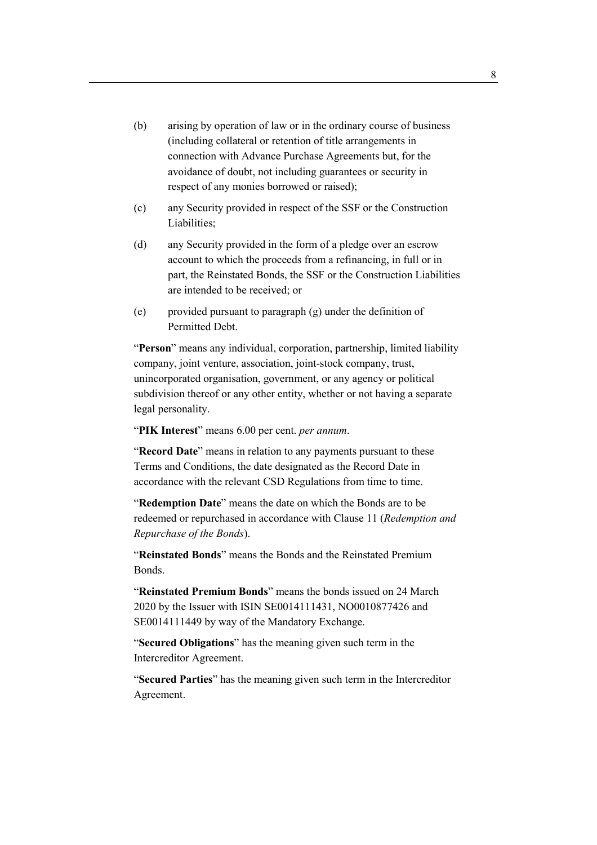- (b) arising by operation of law or in the ordinary course of business (including collateral or retention of title arrangements in connection with Advance Purchase Agreements but, for the avoidance of doubt, not including guarantees or security in respect of any monies borrowed or raised);
- (c) any Security provided in respect of the SSF or the Construction Liabilities;
- (d) any Security provided in the form of a pledge over an escrow account to which the proceeds from a refinancing, in full or in part, the Reinstated Bonds, the SSF or the Construction Liabilities are intended to be received; or
- (e) provided pursuant to paragraph (g) under the definition of Permitted Debt.

"**Person**" means any individual, corporation, partnership, limited liability company, joint venture, association, joint-stock company, trust, unincorporated organisation, government, or any agency or political subdivision thereof or any other entity, whether or not having a separate legal personality.

"**PIK Interest**" means 6.00 per cent. *per annum*.

"**Record Date**" means in relation to any payments pursuant to these Terms and Conditions, the date designated as the Record Date in accordance with the relevant CSD Regulations from time to time.

"**Redemption Date**" means the date on which the Bonds are to be redeemed or repurchased in accordance with Clause 11 (*Redemption and Repurchase of the Bonds*).

"**Reinstated Bonds**" means the Bonds and the Reinstated Premium Bonds.

"**Reinstated Premium Bonds**" means the bonds issued on 24 March 2020 by the Issuer with ISIN SE0014111431, NO0010877426 and SE0014111449 by way of the Mandatory Exchange.

"**Secured Obligations**" has the meaning given such term in the Intercreditor Agreement.

"**Secured Parties**" has the meaning given such term in the Intercreditor Agreement.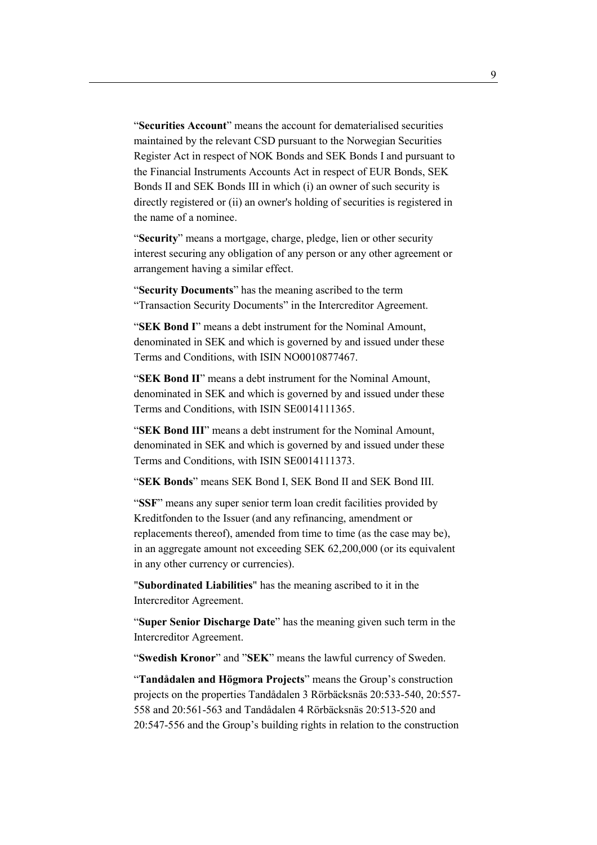"**Securities Account**" means the account for dematerialised securities maintained by the relevant CSD pursuant to the Norwegian Securities Register Act in respect of NOK Bonds and SEK Bonds I and pursuant to the Financial Instruments Accounts Act in respect of EUR Bonds, SEK Bonds II and SEK Bonds III in which (i) an owner of such security is directly registered or (ii) an owner's holding of securities is registered in the name of a nominee.

"**Security**" means a mortgage, charge, pledge, lien or other security interest securing any obligation of any person or any other agreement or arrangement having a similar effect.

"**Security Documents**" has the meaning ascribed to the term "Transaction Security Documents" in the Intercreditor Agreement.

"**SEK Bond I**" means a debt instrument for the Nominal Amount, denominated in SEK and which is governed by and issued under these Terms and Conditions, with ISIN NO0010877467.

"**SEK Bond II**" means a debt instrument for the Nominal Amount, denominated in SEK and which is governed by and issued under these Terms and Conditions, with ISIN SE0014111365.

"**SEK Bond III**" means a debt instrument for the Nominal Amount, denominated in SEK and which is governed by and issued under these Terms and Conditions, with ISIN SE0014111373.

"**SEK Bonds**" means SEK Bond I, SEK Bond II and SEK Bond III.

"**SSF**" means any super senior term loan credit facilities provided by Kreditfonden to the Issuer (and any refinancing, amendment or replacements thereof), amended from time to time (as the case may be), in an aggregate amount not exceeding SEK 62,200,000 (or its equivalent in any other currency or currencies).

"**Subordinated Liabilities**" has the meaning ascribed to it in the Intercreditor Agreement.

"**Super Senior Discharge Date**" has the meaning given such term in the Intercreditor Agreement.

"**Swedish Kronor**" and "**SEK**" means the lawful currency of Sweden.

"**Tandådalen and Högmora Projects**" means the Group's construction projects on the properties Tandådalen 3 Rörbäcksnäs 20:533-540, 20:557- 558 and 20:561-563 and Tandådalen 4 Rörbäcksnäs 20:513-520 and 20:547-556 and the Group's building rights in relation to the construction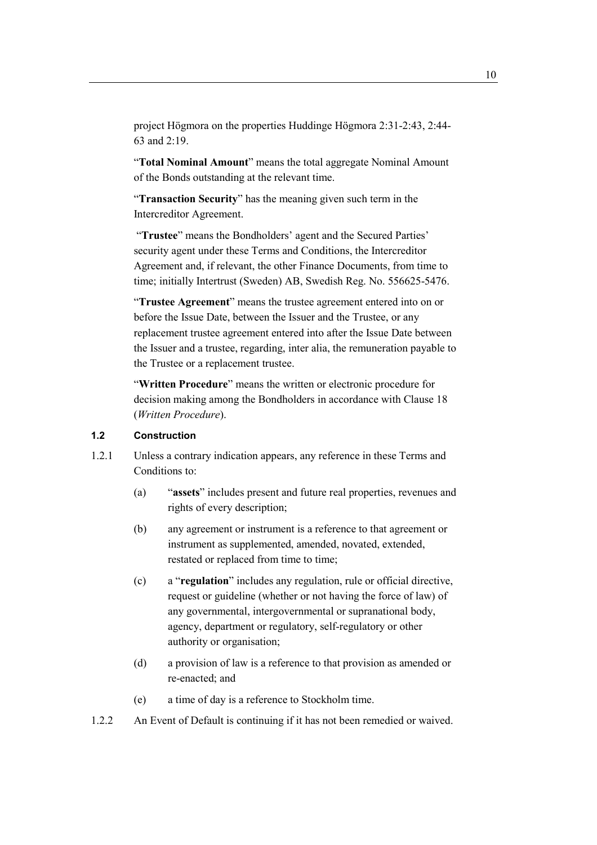project Högmora on the properties Huddinge Högmora 2:31-2:43, 2:44- 63 and 2:19.

"**Total Nominal Amount**" means the total aggregate Nominal Amount of the Bonds outstanding at the relevant time.

"**Transaction Security**" has the meaning given such term in the Intercreditor Agreement.

 "**Trustee**" means the Bondholders' agent and the Secured Parties' security agent under these Terms and Conditions, the Intercreditor Agreement and, if relevant, the other Finance Documents, from time to time; initially Intertrust (Sweden) AB, Swedish Reg. No. 556625-5476.

"**Trustee Agreement**" means the trustee agreement entered into on or before the Issue Date, between the Issuer and the Trustee, or any replacement trustee agreement entered into after the Issue Date between the Issuer and a trustee, regarding, inter alia, the remuneration payable to the Trustee or a replacement trustee.

"**Written Procedure**" means the written or electronic procedure for decision making among the Bondholders in accordance with Clause 18 (*Written Procedure*).

## **1.2 Construction**

- 1.2.1 Unless a contrary indication appears, any reference in these Terms and Conditions to:
	- (a) "**assets**" includes present and future real properties, revenues and rights of every description;
	- (b) any agreement or instrument is a reference to that agreement or instrument as supplemented, amended, novated, extended, restated or replaced from time to time;
	- (c) a "**regulation**" includes any regulation, rule or official directive, request or guideline (whether or not having the force of law) of any governmental, intergovernmental or supranational body, agency, department or regulatory, self-regulatory or other authority or organisation;
	- (d) a provision of law is a reference to that provision as amended or re-enacted; and
	- (e) a time of day is a reference to Stockholm time.
- 1.2.2 An Event of Default is continuing if it has not been remedied or waived.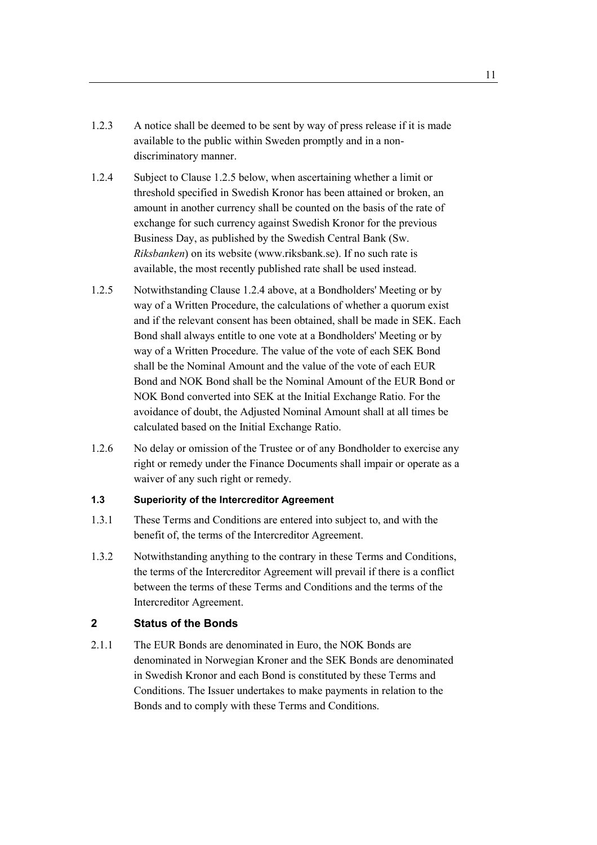- 1.2.3 A notice shall be deemed to be sent by way of press release if it is made available to the public within Sweden promptly and in a nondiscriminatory manner.
- 1.2.4 Subject to Clause 1.2.5 below, when ascertaining whether a limit or threshold specified in Swedish Kronor has been attained or broken, an amount in another currency shall be counted on the basis of the rate of exchange for such currency against Swedish Kronor for the previous Business Day, as published by the Swedish Central Bank (Sw. *Riksbanken*) on its website (www.riksbank.se). If no such rate is available, the most recently published rate shall be used instead.
- 1.2.5 Notwithstanding Clause 1.2.4 above, at a Bondholders' Meeting or by way of a Written Procedure, the calculations of whether a quorum exist and if the relevant consent has been obtained, shall be made in SEK. Each Bond shall always entitle to one vote at a Bondholders' Meeting or by way of a Written Procedure. The value of the vote of each SEK Bond shall be the Nominal Amount and the value of the vote of each EUR Bond and NOK Bond shall be the Nominal Amount of the EUR Bond or NOK Bond converted into SEK at the Initial Exchange Ratio. For the avoidance of doubt, the Adjusted Nominal Amount shall at all times be calculated based on the Initial Exchange Ratio.
- 1.2.6 No delay or omission of the Trustee or of any Bondholder to exercise any right or remedy under the Finance Documents shall impair or operate as a waiver of any such right or remedy.

## **1.3 Superiority of the Intercreditor Agreement**

- 1.3.1 These Terms and Conditions are entered into subject to, and with the benefit of, the terms of the Intercreditor Agreement.
- 1.3.2 Notwithstanding anything to the contrary in these Terms and Conditions, the terms of the Intercreditor Agreement will prevail if there is a conflict between the terms of these Terms and Conditions and the terms of the Intercreditor Agreement.

## **2 Status of the Bonds**

2.1.1 The EUR Bonds are denominated in Euro, the NOK Bonds are denominated in Norwegian Kroner and the SEK Bonds are denominated in Swedish Kronor and each Bond is constituted by these Terms and Conditions. The Issuer undertakes to make payments in relation to the Bonds and to comply with these Terms and Conditions.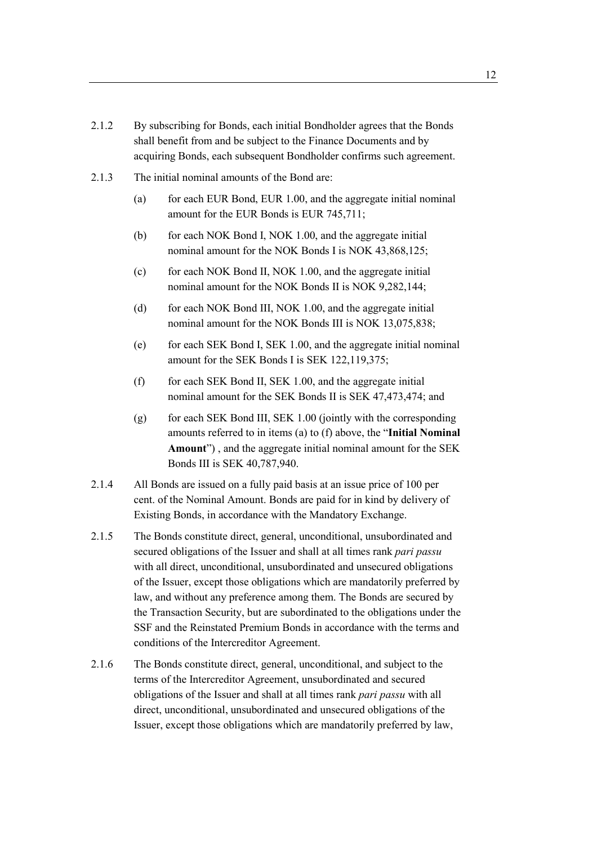- 2.1.2 By subscribing for Bonds, each initial Bondholder agrees that the Bonds shall benefit from and be subject to the Finance Documents and by acquiring Bonds, each subsequent Bondholder confirms such agreement.
- 2.1.3 The initial nominal amounts of the Bond are:
	- (a) for each EUR Bond, EUR 1.00, and the aggregate initial nominal amount for the EUR Bonds is EUR 745,711;
	- (b) for each NOK Bond I, NOK 1.00, and the aggregate initial nominal amount for the NOK Bonds I is NOK 43,868,125;
	- (c) for each NOK Bond II, NOK 1.00, and the aggregate initial nominal amount for the NOK Bonds II is NOK 9,282,144;
	- (d) for each NOK Bond III, NOK 1.00, and the aggregate initial nominal amount for the NOK Bonds III is NOK 13,075,838;
	- (e) for each SEK Bond I, SEK 1.00, and the aggregate initial nominal amount for the SEK Bonds I is SEK 122,119,375;
	- $(f)$  for each SEK Bond II, SEK 1.00, and the aggregate initial nominal amount for the SEK Bonds II is SEK 47,473,474; and
	- (g) for each SEK Bond III, SEK 1.00 (jointly with the corresponding amounts referred to in items (a) to (f) above, the "**Initial Nominal Amount**") , and the aggregate initial nominal amount for the SEK Bonds III is SEK 40,787,940.
- 2.1.4 All Bonds are issued on a fully paid basis at an issue price of 100 per cent. of the Nominal Amount. Bonds are paid for in kind by delivery of Existing Bonds, in accordance with the Mandatory Exchange.
- 2.1.5 The Bonds constitute direct, general, unconditional, unsubordinated and secured obligations of the Issuer and shall at all times rank *pari passu* with all direct, unconditional, unsubordinated and unsecured obligations of the Issuer, except those obligations which are mandatorily preferred by law, and without any preference among them. The Bonds are secured by the Transaction Security, but are subordinated to the obligations under the SSF and the Reinstated Premium Bonds in accordance with the terms and conditions of the Intercreditor Agreement.
- 2.1.6 The Bonds constitute direct, general, unconditional, and subject to the terms of the Intercreditor Agreement, unsubordinated and secured obligations of the Issuer and shall at all times rank *pari passu* with all direct, unconditional, unsubordinated and unsecured obligations of the Issuer, except those obligations which are mandatorily preferred by law,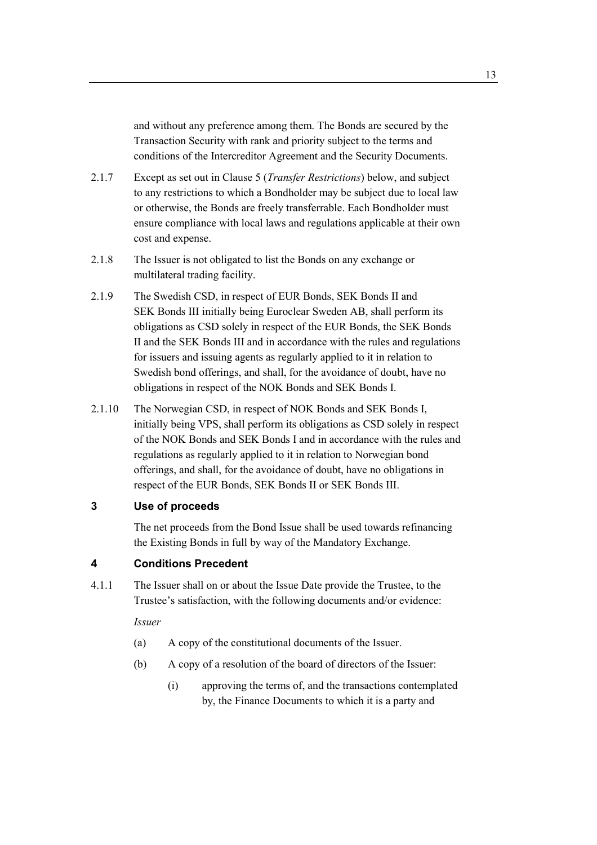and without any preference among them. The Bonds are secured by the Transaction Security with rank and priority subject to the terms and conditions of the Intercreditor Agreement and the Security Documents.

- 2.1.7 Except as set out in Clause 5 (*Transfer Restrictions*) below, and subject to any restrictions to which a Bondholder may be subject due to local law or otherwise, the Bonds are freely transferrable. Each Bondholder must ensure compliance with local laws and regulations applicable at their own cost and expense.
- 2.1.8 The Issuer is not obligated to list the Bonds on any exchange or multilateral trading facility.
- 2.1.9 The Swedish CSD, in respect of EUR Bonds, SEK Bonds II and SEK Bonds III initially being Euroclear Sweden AB, shall perform its obligations as CSD solely in respect of the EUR Bonds, the SEK Bonds II and the SEK Bonds III and in accordance with the rules and regulations for issuers and issuing agents as regularly applied to it in relation to Swedish bond offerings, and shall, for the avoidance of doubt, have no obligations in respect of the NOK Bonds and SEK Bonds I.
- 2.1.10 The Norwegian CSD, in respect of NOK Bonds and SEK Bonds I, initially being VPS, shall perform its obligations as CSD solely in respect of the NOK Bonds and SEK Bonds I and in accordance with the rules and regulations as regularly applied to it in relation to Norwegian bond offerings, and shall, for the avoidance of doubt, have no obligations in respect of the EUR Bonds, SEK Bonds II or SEK Bonds III.

## **3 Use of proceeds**

The net proceeds from the Bond Issue shall be used towards refinancing the Existing Bonds in full by way of the Mandatory Exchange.

## **4 Conditions Precedent**

4.1.1 The Issuer shall on or about the Issue Date provide the Trustee, to the Trustee's satisfaction, with the following documents and/or evidence:

*Issuer* 

- (a) A copy of the constitutional documents of the Issuer.
- (b) A copy of a resolution of the board of directors of the Issuer:
	- (i) approving the terms of, and the transactions contemplated by, the Finance Documents to which it is a party and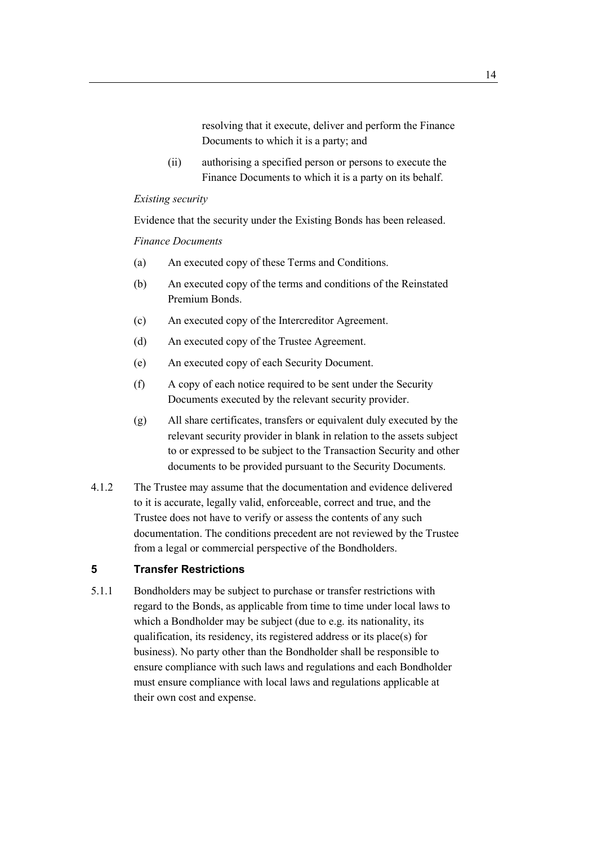resolving that it execute, deliver and perform the Finance Documents to which it is a party; and

(ii) authorising a specified person or persons to execute the Finance Documents to which it is a party on its behalf.

#### *Existing security*

Evidence that the security under the Existing Bonds has been released.

#### *Finance Documents*

- (a) An executed copy of these Terms and Conditions.
- (b) An executed copy of the terms and conditions of the Reinstated Premium Bonds.
- (c) An executed copy of the Intercreditor Agreement.
- (d) An executed copy of the Trustee Agreement.
- (e) An executed copy of each Security Document.
- (f) A copy of each notice required to be sent under the Security Documents executed by the relevant security provider.
- (g) All share certificates, transfers or equivalent duly executed by the relevant security provider in blank in relation to the assets subject to or expressed to be subject to the Transaction Security and other documents to be provided pursuant to the Security Documents.
- 4.1.2 The Trustee may assume that the documentation and evidence delivered to it is accurate, legally valid, enforceable, correct and true, and the Trustee does not have to verify or assess the contents of any such documentation. The conditions precedent are not reviewed by the Trustee from a legal or commercial perspective of the Bondholders.

# **5 Transfer Restrictions**

5.1.1 Bondholders may be subject to purchase or transfer restrictions with regard to the Bonds, as applicable from time to time under local laws to which a Bondholder may be subject (due to e.g. its nationality, its qualification, its residency, its registered address or its place(s) for business). No party other than the Bondholder shall be responsible to ensure compliance with such laws and regulations and each Bondholder must ensure compliance with local laws and regulations applicable at their own cost and expense.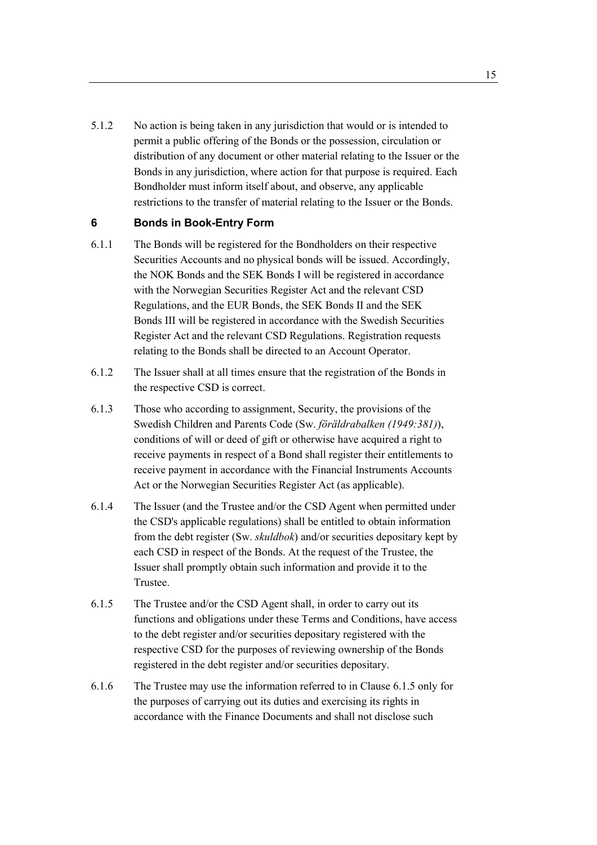5.1.2 No action is being taken in any jurisdiction that would or is intended to permit a public offering of the Bonds or the possession, circulation or distribution of any document or other material relating to the Issuer or the Bonds in any jurisdiction, where action for that purpose is required. Each Bondholder must inform itself about, and observe, any applicable restrictions to the transfer of material relating to the Issuer or the Bonds.

## **6 Bonds in Book-Entry Form**

- 6.1.1 The Bonds will be registered for the Bondholders on their respective Securities Accounts and no physical bonds will be issued. Accordingly, the NOK Bonds and the SEK Bonds I will be registered in accordance with the Norwegian Securities Register Act and the relevant CSD Regulations, and the EUR Bonds, the SEK Bonds II and the SEK Bonds III will be registered in accordance with the Swedish Securities Register Act and the relevant CSD Regulations. Registration requests relating to the Bonds shall be directed to an Account Operator.
- 6.1.2 The Issuer shall at all times ensure that the registration of the Bonds in the respective CSD is correct.
- 6.1.3 Those who according to assignment, Security, the provisions of the Swedish Children and Parents Code (Sw. *föräldrabalken (1949:381)*), conditions of will or deed of gift or otherwise have acquired a right to receive payments in respect of a Bond shall register their entitlements to receive payment in accordance with the Financial Instruments Accounts Act or the Norwegian Securities Register Act (as applicable).
- 6.1.4 The Issuer (and the Trustee and/or the CSD Agent when permitted under the CSD's applicable regulations) shall be entitled to obtain information from the debt register (Sw. *skuldbok*) and/or securities depositary kept by each CSD in respect of the Bonds. At the request of the Trustee, the Issuer shall promptly obtain such information and provide it to the Trustee.
- 6.1.5 The Trustee and/or the CSD Agent shall, in order to carry out its functions and obligations under these Terms and Conditions, have access to the debt register and/or securities depositary registered with the respective CSD for the purposes of reviewing ownership of the Bonds registered in the debt register and/or securities depositary.
- 6.1.6 The Trustee may use the information referred to in Clause 6.1.5 only for the purposes of carrying out its duties and exercising its rights in accordance with the Finance Documents and shall not disclose such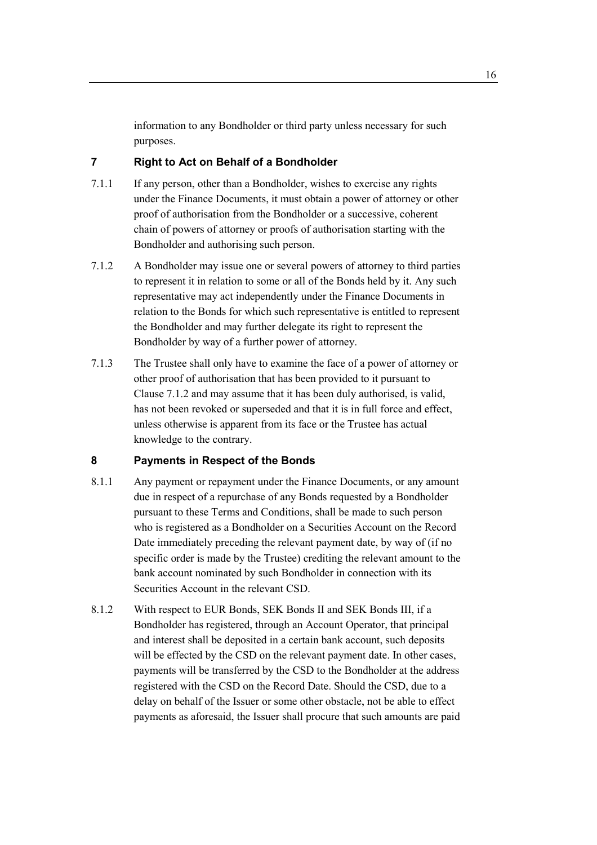information to any Bondholder or third party unless necessary for such purposes.

# **7 Right to Act on Behalf of a Bondholder**

- 7.1.1 If any person, other than a Bondholder, wishes to exercise any rights under the Finance Documents, it must obtain a power of attorney or other proof of authorisation from the Bondholder or a successive, coherent chain of powers of attorney or proofs of authorisation starting with the Bondholder and authorising such person.
- 7.1.2 A Bondholder may issue one or several powers of attorney to third parties to represent it in relation to some or all of the Bonds held by it. Any such representative may act independently under the Finance Documents in relation to the Bonds for which such representative is entitled to represent the Bondholder and may further delegate its right to represent the Bondholder by way of a further power of attorney.
- 7.1.3 The Trustee shall only have to examine the face of a power of attorney or other proof of authorisation that has been provided to it pursuant to Clause 7.1.2 and may assume that it has been duly authorised, is valid, has not been revoked or superseded and that it is in full force and effect, unless otherwise is apparent from its face or the Trustee has actual knowledge to the contrary.

## **8 Payments in Respect of the Bonds**

- 8.1.1 Any payment or repayment under the Finance Documents, or any amount due in respect of a repurchase of any Bonds requested by a Bondholder pursuant to these Terms and Conditions, shall be made to such person who is registered as a Bondholder on a Securities Account on the Record Date immediately preceding the relevant payment date, by way of (if no specific order is made by the Trustee) crediting the relevant amount to the bank account nominated by such Bondholder in connection with its Securities Account in the relevant CSD.
- 8.1.2 With respect to EUR Bonds, SEK Bonds II and SEK Bonds III, if a Bondholder has registered, through an Account Operator, that principal and interest shall be deposited in a certain bank account, such deposits will be effected by the CSD on the relevant payment date. In other cases, payments will be transferred by the CSD to the Bondholder at the address registered with the CSD on the Record Date. Should the CSD, due to a delay on behalf of the Issuer or some other obstacle, not be able to effect payments as aforesaid, the Issuer shall procure that such amounts are paid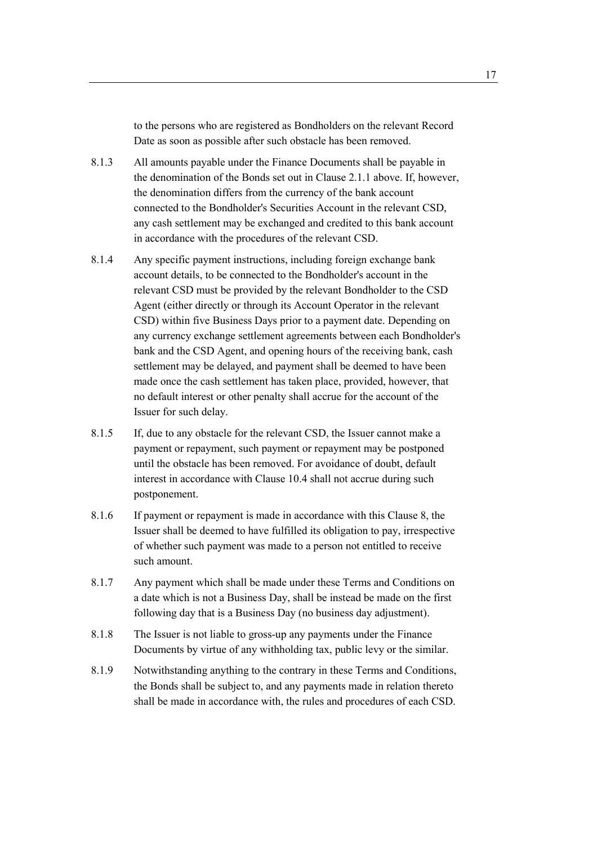to the persons who are registered as Bondholders on the relevant Record Date as soon as possible after such obstacle has been removed.

- 8.1.3 All amounts payable under the Finance Documents shall be payable in the denomination of the Bonds set out in Clause 2.1.1 above. If, however, the denomination differs from the currency of the bank account connected to the Bondholder's Securities Account in the relevant CSD, any cash settlement may be exchanged and credited to this bank account in accordance with the procedures of the relevant CSD.
- 8.1.4 Any specific payment instructions, including foreign exchange bank account details, to be connected to the Bondholder's account in the relevant CSD must be provided by the relevant Bondholder to the CSD Agent (either directly or through its Account Operator in the relevant CSD) within five Business Days prior to a payment date. Depending on any currency exchange settlement agreements between each Bondholder's bank and the CSD Agent, and opening hours of the receiving bank, cash settlement may be delayed, and payment shall be deemed to have been made once the cash settlement has taken place, provided, however, that no default interest or other penalty shall accrue for the account of the Issuer for such delay.
- 8.1.5 If, due to any obstacle for the relevant CSD, the Issuer cannot make a payment or repayment, such payment or repayment may be postponed until the obstacle has been removed. For avoidance of doubt, default interest in accordance with Clause 10.4 shall not accrue during such postponement.
- 8.1.6 If payment or repayment is made in accordance with this Clause 8, the Issuer shall be deemed to have fulfilled its obligation to pay, irrespective of whether such payment was made to a person not entitled to receive such amount.
- 8.1.7 Any payment which shall be made under these Terms and Conditions on a date which is not a Business Day, shall be instead be made on the first following day that is a Business Day (no business day adjustment).
- 8.1.8 The Issuer is not liable to gross-up any payments under the Finance Documents by virtue of any withholding tax, public levy or the similar.
- 8.1.9 Notwithstanding anything to the contrary in these Terms and Conditions, the Bonds shall be subject to, and any payments made in relation thereto shall be made in accordance with, the rules and procedures of each CSD.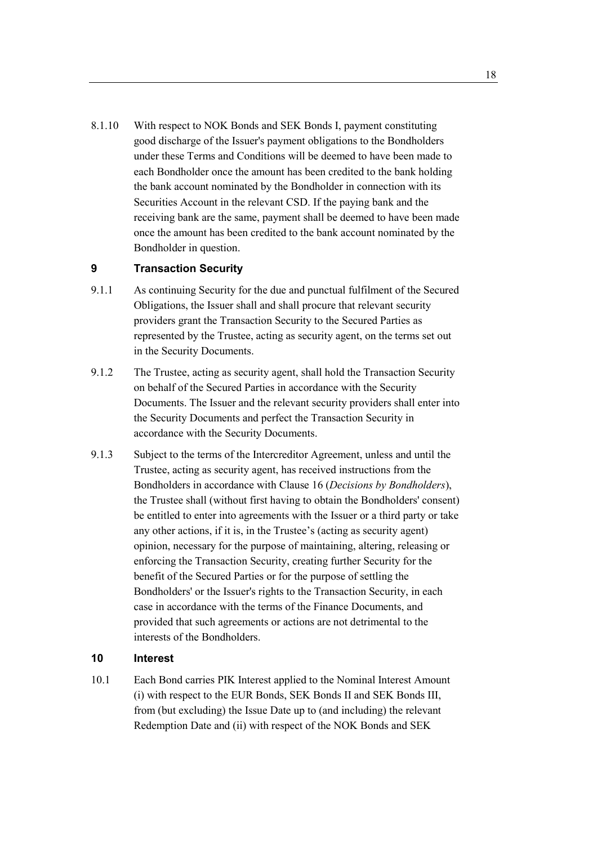8.1.10 With respect to NOK Bonds and SEK Bonds I, payment constituting good discharge of the Issuer's payment obligations to the Bondholders under these Terms and Conditions will be deemed to have been made to each Bondholder once the amount has been credited to the bank holding the bank account nominated by the Bondholder in connection with its Securities Account in the relevant CSD. If the paying bank and the receiving bank are the same, payment shall be deemed to have been made once the amount has been credited to the bank account nominated by the Bondholder in question.

## **9 Transaction Security**

- 9.1.1 As continuing Security for the due and punctual fulfilment of the Secured Obligations, the Issuer shall and shall procure that relevant security providers grant the Transaction Security to the Secured Parties as represented by the Trustee, acting as security agent, on the terms set out in the Security Documents.
- 9.1.2 The Trustee, acting as security agent, shall hold the Transaction Security on behalf of the Secured Parties in accordance with the Security Documents. The Issuer and the relevant security providers shall enter into the Security Documents and perfect the Transaction Security in accordance with the Security Documents.
- 9.1.3 Subject to the terms of the Intercreditor Agreement, unless and until the Trustee, acting as security agent, has received instructions from the Bondholders in accordance with Clause 16 (*Decisions by Bondholders*), the Trustee shall (without first having to obtain the Bondholders' consent) be entitled to enter into agreements with the Issuer or a third party or take any other actions, if it is, in the Trustee's (acting as security agent) opinion, necessary for the purpose of maintaining, altering, releasing or enforcing the Transaction Security, creating further Security for the benefit of the Secured Parties or for the purpose of settling the Bondholders' or the Issuer's rights to the Transaction Security, in each case in accordance with the terms of the Finance Documents, and provided that such agreements or actions are not detrimental to the interests of the Bondholders.

# **10 Interest**

10.1 Each Bond carries PIK Interest applied to the Nominal Interest Amount (i) with respect to the EUR Bonds, SEK Bonds II and SEK Bonds III, from (but excluding) the Issue Date up to (and including) the relevant Redemption Date and (ii) with respect of the NOK Bonds and SEK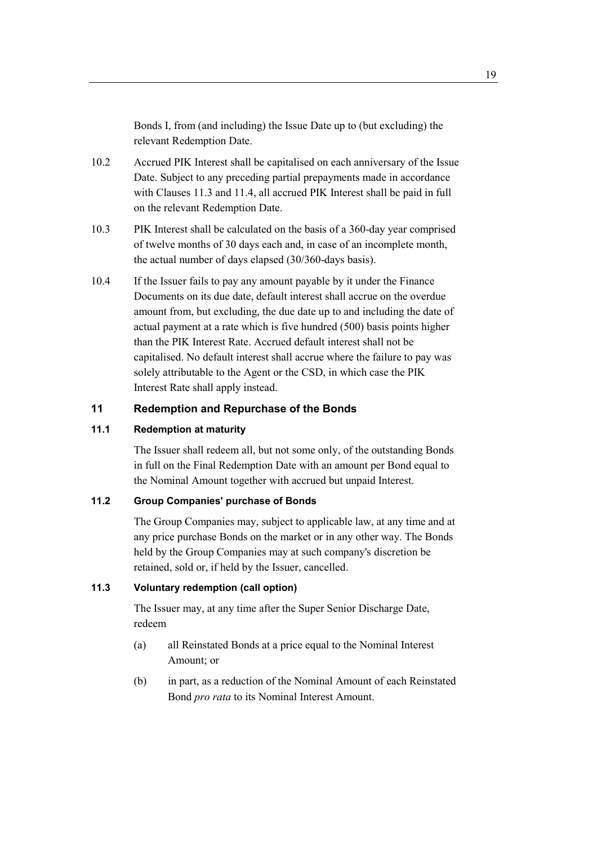Bonds I, from (and including) the Issue Date up to (but excluding) the relevant Redemption Date.

- 10.2 Accrued PIK Interest shall be capitalised on each anniversary of the Issue Date. Subject to any preceding partial prepayments made in accordance with Clauses 11.3 and 11.4, all accrued PIK Interest shall be paid in full on the relevant Redemption Date.
- 10.3 PIK Interest shall be calculated on the basis of a 360-day year comprised of twelve months of 30 days each and, in case of an incomplete month, the actual number of days elapsed (30/360-days basis).
- 10.4 If the Issuer fails to pay any amount payable by it under the Finance Documents on its due date, default interest shall accrue on the overdue amount from, but excluding, the due date up to and including the date of actual payment at a rate which is five hundred (500) basis points higher than the PIK Interest Rate. Accrued default interest shall not be capitalised. No default interest shall accrue where the failure to pay was solely attributable to the Agent or the CSD, in which case the PIK Interest Rate shall apply instead.

## **11 Redemption and Repurchase of the Bonds**

#### **11.1 Redemption at maturity**

The Issuer shall redeem all, but not some only, of the outstanding Bonds in full on the Final Redemption Date with an amount per Bond equal to the Nominal Amount together with accrued but unpaid Interest.

## **11.2 Group Companies' purchase of Bonds**

The Group Companies may, subject to applicable law, at any time and at any price purchase Bonds on the market or in any other way. The Bonds held by the Group Companies may at such company's discretion be retained, sold or, if held by the Issuer, cancelled.

#### **11.3 Voluntary redemption (call option)**

The Issuer may, at any time after the Super Senior Discharge Date, redeem

- (a) all Reinstated Bonds at a price equal to the Nominal Interest Amount; or
- (b) in part, as a reduction of the Nominal Amount of each Reinstated Bond *pro rata* to its Nominal Interest Amount.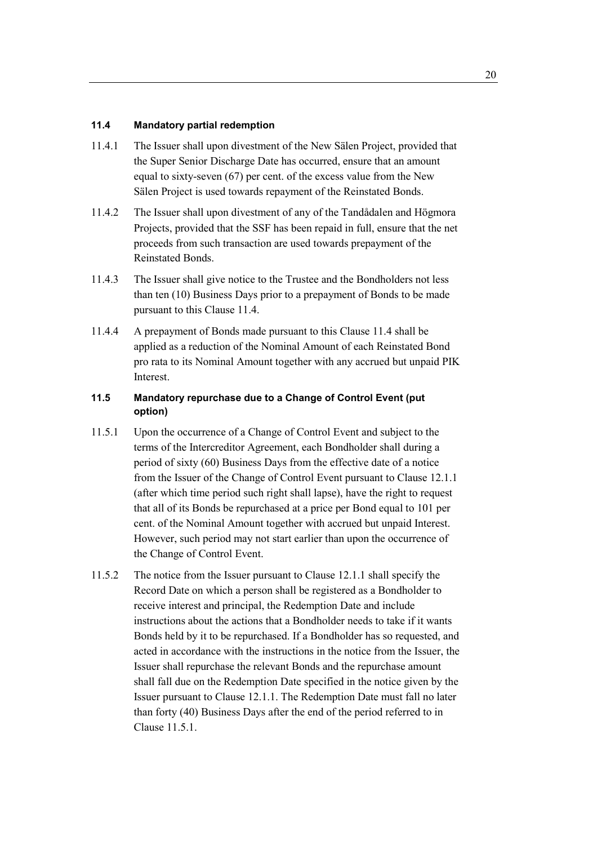#### **11.4 Mandatory partial redemption**

- 11.4.1 The Issuer shall upon divestment of the New Sälen Project, provided that the Super Senior Discharge Date has occurred, ensure that an amount equal to sixty-seven (67) per cent. of the excess value from the New Sälen Project is used towards repayment of the Reinstated Bonds.
- 11.4.2 The Issuer shall upon divestment of any of the Tandådalen and Högmora Projects, provided that the SSF has been repaid in full, ensure that the net proceeds from such transaction are used towards prepayment of the Reinstated Bonds.
- 11.4.3 The Issuer shall give notice to the Trustee and the Bondholders not less than ten (10) Business Days prior to a prepayment of Bonds to be made pursuant to this Clause 11.4.
- 11.4.4 A prepayment of Bonds made pursuant to this Clause 11.4 shall be applied as a reduction of the Nominal Amount of each Reinstated Bond pro rata to its Nominal Amount together with any accrued but unpaid PIK Interest.

## **11.5 Mandatory repurchase due to a Change of Control Event (put option)**

- 11.5.1 Upon the occurrence of a Change of Control Event and subject to the terms of the Intercreditor Agreement, each Bondholder shall during a period of sixty (60) Business Days from the effective date of a notice from the Issuer of the Change of Control Event pursuant to Clause 12.1.1 (after which time period such right shall lapse), have the right to request that all of its Bonds be repurchased at a price per Bond equal to 101 per cent. of the Nominal Amount together with accrued but unpaid Interest. However, such period may not start earlier than upon the occurrence of the Change of Control Event.
- 11.5.2 The notice from the Issuer pursuant to Clause 12.1.1 shall specify the Record Date on which a person shall be registered as a Bondholder to receive interest and principal, the Redemption Date and include instructions about the actions that a Bondholder needs to take if it wants Bonds held by it to be repurchased. If a Bondholder has so requested, and acted in accordance with the instructions in the notice from the Issuer, the Issuer shall repurchase the relevant Bonds and the repurchase amount shall fall due on the Redemption Date specified in the notice given by the Issuer pursuant to Clause 12.1.1. The Redemption Date must fall no later than forty (40) Business Days after the end of the period referred to in Clause 11.5.1.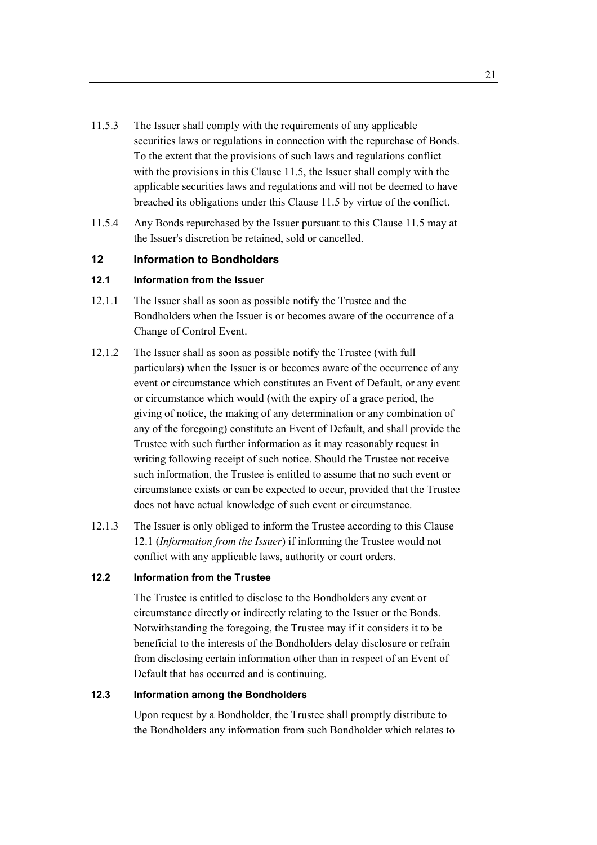- 11.5.3 The Issuer shall comply with the requirements of any applicable securities laws or regulations in connection with the repurchase of Bonds. To the extent that the provisions of such laws and regulations conflict with the provisions in this Clause 11.5, the Issuer shall comply with the applicable securities laws and regulations and will not be deemed to have breached its obligations under this Clause 11.5 by virtue of the conflict.
- 11.5.4 Any Bonds repurchased by the Issuer pursuant to this Clause 11.5 may at the Issuer's discretion be retained, sold or cancelled.

## **12 Information to Bondholders**

# **12.1 Information from the Issuer**

- 12.1.1 The Issuer shall as soon as possible notify the Trustee and the Bondholders when the Issuer is or becomes aware of the occurrence of a Change of Control Event.
- 12.1.2 The Issuer shall as soon as possible notify the Trustee (with full particulars) when the Issuer is or becomes aware of the occurrence of any event or circumstance which constitutes an Event of Default, or any event or circumstance which would (with the expiry of a grace period, the giving of notice, the making of any determination or any combination of any of the foregoing) constitute an Event of Default, and shall provide the Trustee with such further information as it may reasonably request in writing following receipt of such notice. Should the Trustee not receive such information, the Trustee is entitled to assume that no such event or circumstance exists or can be expected to occur, provided that the Trustee does not have actual knowledge of such event or circumstance.
- 12.1.3 The Issuer is only obliged to inform the Trustee according to this Clause 12.1 (*Information from the Issuer*) if informing the Trustee would not conflict with any applicable laws, authority or court orders.

## **12.2 Information from the Trustee**

The Trustee is entitled to disclose to the Bondholders any event or circumstance directly or indirectly relating to the Issuer or the Bonds. Notwithstanding the foregoing, the Trustee may if it considers it to be beneficial to the interests of the Bondholders delay disclosure or refrain from disclosing certain information other than in respect of an Event of Default that has occurred and is continuing.

## **12.3 Information among the Bondholders**

Upon request by a Bondholder, the Trustee shall promptly distribute to the Bondholders any information from such Bondholder which relates to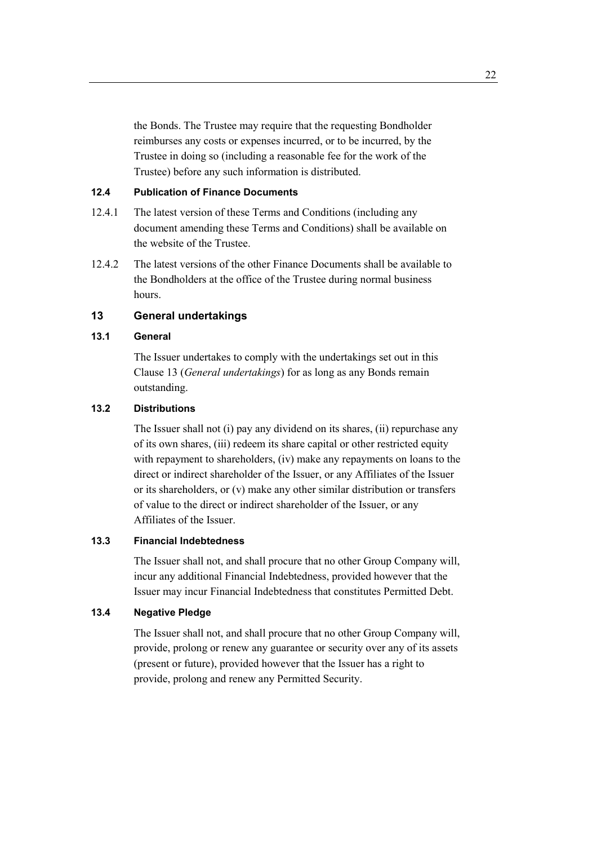the Bonds. The Trustee may require that the requesting Bondholder reimburses any costs or expenses incurred, or to be incurred, by the Trustee in doing so (including a reasonable fee for the work of the Trustee) before any such information is distributed.

## **12.4 Publication of Finance Documents**

- 12.4.1 The latest version of these Terms and Conditions (including any document amending these Terms and Conditions) shall be available on the website of the Trustee.
- 12.4.2 The latest versions of the other Finance Documents shall be available to the Bondholders at the office of the Trustee during normal business hours.

# **13 General undertakings**

# **13.1 General**

The Issuer undertakes to comply with the undertakings set out in this Clause 13 (*General undertakings*) for as long as any Bonds remain outstanding.

#### **13.2 Distributions**

The Issuer shall not (i) pay any dividend on its shares, (ii) repurchase any of its own shares, (iii) redeem its share capital or other restricted equity with repayment to shareholders, (iv) make any repayments on loans to the direct or indirect shareholder of the Issuer, or any Affiliates of the Issuer or its shareholders, or (v) make any other similar distribution or transfers of value to the direct or indirect shareholder of the Issuer, or any Affiliates of the Issuer.

#### **13.3 Financial Indebtedness**

The Issuer shall not, and shall procure that no other Group Company will, incur any additional Financial Indebtedness, provided however that the Issuer may incur Financial Indebtedness that constitutes Permitted Debt.

#### **13.4 Negative Pledge**

The Issuer shall not, and shall procure that no other Group Company will, provide, prolong or renew any guarantee or security over any of its assets (present or future), provided however that the Issuer has a right to provide, prolong and renew any Permitted Security.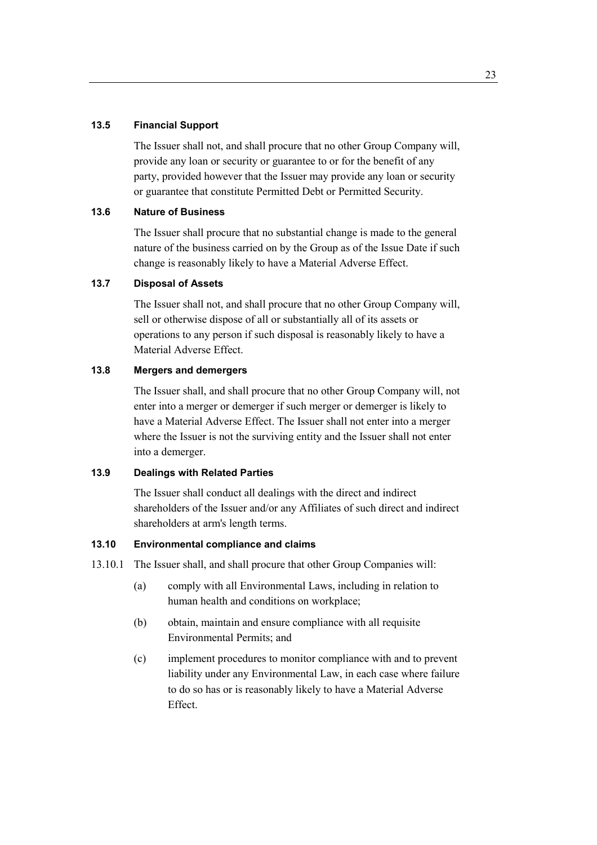#### **13.5 Financial Support**

The Issuer shall not, and shall procure that no other Group Company will, provide any loan or security or guarantee to or for the benefit of any party, provided however that the Issuer may provide any loan or security or guarantee that constitute Permitted Debt or Permitted Security.

#### **13.6 Nature of Business**

The Issuer shall procure that no substantial change is made to the general nature of the business carried on by the Group as of the Issue Date if such change is reasonably likely to have a Material Adverse Effect.

## **13.7 Disposal of Assets**

The Issuer shall not, and shall procure that no other Group Company will, sell or otherwise dispose of all or substantially all of its assets or operations to any person if such disposal is reasonably likely to have a Material Adverse Effect.

## **13.8 Mergers and demergers**

The Issuer shall, and shall procure that no other Group Company will, not enter into a merger or demerger if such merger or demerger is likely to have a Material Adverse Effect. The Issuer shall not enter into a merger where the Issuer is not the surviving entity and the Issuer shall not enter into a demerger.

#### **13.9 Dealings with Related Parties**

The Issuer shall conduct all dealings with the direct and indirect shareholders of the Issuer and/or any Affiliates of such direct and indirect shareholders at arm's length terms.

## **13.10 Environmental compliance and claims**

- 13.10.1 The Issuer shall, and shall procure that other Group Companies will:
	- (a) comply with all Environmental Laws, including in relation to human health and conditions on workplace;
	- (b) obtain, maintain and ensure compliance with all requisite Environmental Permits; and
	- (c) implement procedures to monitor compliance with and to prevent liability under any Environmental Law, in each case where failure to do so has or is reasonably likely to have a Material Adverse Effect.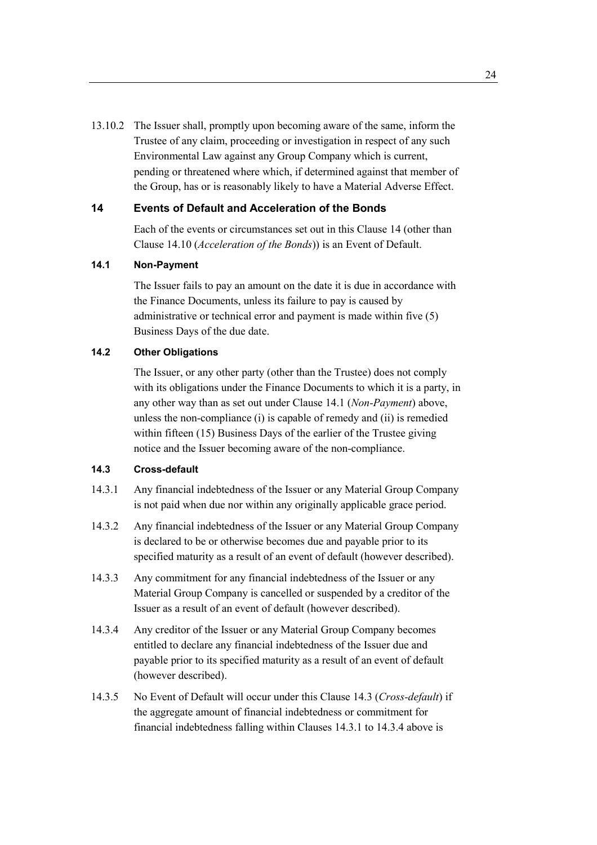13.10.2 The Issuer shall, promptly upon becoming aware of the same, inform the Trustee of any claim, proceeding or investigation in respect of any such Environmental Law against any Group Company which is current, pending or threatened where which, if determined against that member of the Group, has or is reasonably likely to have a Material Adverse Effect.

### **14 Events of Default and Acceleration of the Bonds**

Each of the events or circumstances set out in this Clause 14 (other than Clause 14.10 (*Acceleration of the Bonds*)) is an Event of Default.

#### **14.1 Non-Payment**

The Issuer fails to pay an amount on the date it is due in accordance with the Finance Documents, unless its failure to pay is caused by administrative or technical error and payment is made within five (5) Business Days of the due date.

#### **14.2 Other Obligations**

The Issuer, or any other party (other than the Trustee) does not comply with its obligations under the Finance Documents to which it is a party, in any other way than as set out under Clause 14.1 (*Non-Payment*) above, unless the non-compliance (i) is capable of remedy and (ii) is remedied within fifteen (15) Business Days of the earlier of the Trustee giving notice and the Issuer becoming aware of the non-compliance.

# **14.3 Cross-default**

- 14.3.1 Any financial indebtedness of the Issuer or any Material Group Company is not paid when due nor within any originally applicable grace period.
- 14.3.2 Any financial indebtedness of the Issuer or any Material Group Company is declared to be or otherwise becomes due and payable prior to its specified maturity as a result of an event of default (however described).
- 14.3.3 Any commitment for any financial indebtedness of the Issuer or any Material Group Company is cancelled or suspended by a creditor of the Issuer as a result of an event of default (however described).
- 14.3.4 Any creditor of the Issuer or any Material Group Company becomes entitled to declare any financial indebtedness of the Issuer due and payable prior to its specified maturity as a result of an event of default (however described).
- 14.3.5 No Event of Default will occur under this Clause 14.3 (*Cross-default*) if the aggregate amount of financial indebtedness or commitment for financial indebtedness falling within Clauses 14.3.1 to 14.3.4 above is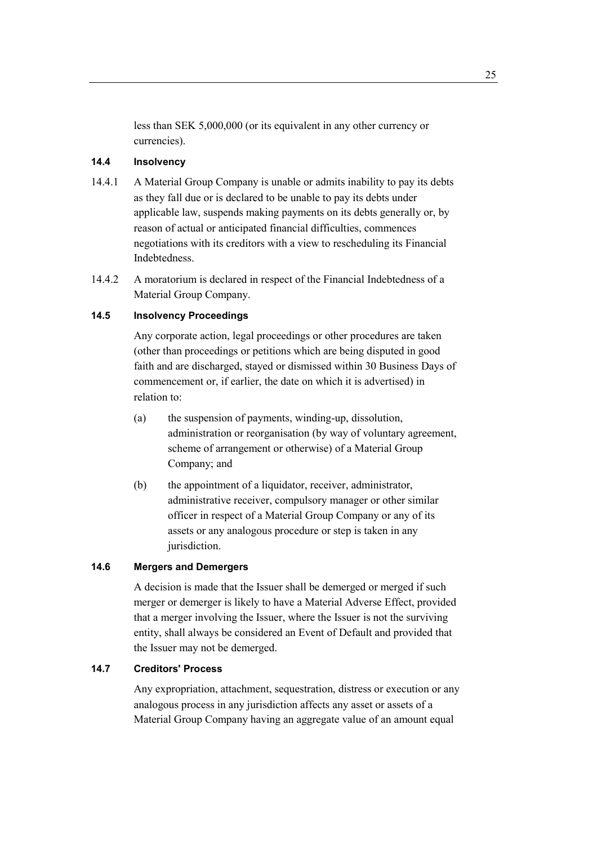less than SEK 5,000,000 (or its equivalent in any other currency or currencies).

## **14.4 Insolvency**

- 14.4.1 A Material Group Company is unable or admits inability to pay its debts as they fall due or is declared to be unable to pay its debts under applicable law, suspends making payments on its debts generally or, by reason of actual or anticipated financial difficulties, commences negotiations with its creditors with a view to rescheduling its Financial Indebtedness.
- 14.4.2 A moratorium is declared in respect of the Financial Indebtedness of a Material Group Company.

#### **14.5 Insolvency Proceedings**

Any corporate action, legal proceedings or other procedures are taken (other than proceedings or petitions which are being disputed in good faith and are discharged, stayed or dismissed within 30 Business Days of commencement or, if earlier, the date on which it is advertised) in relation to:

- (a) the suspension of payments, winding-up, dissolution, administration or reorganisation (by way of voluntary agreement, scheme of arrangement or otherwise) of a Material Group Company; and
- (b) the appointment of a liquidator, receiver, administrator, administrative receiver, compulsory manager or other similar officer in respect of a Material Group Company or any of its assets or any analogous procedure or step is taken in any jurisdiction.

## **14.6 Mergers and Demergers**

A decision is made that the Issuer shall be demerged or merged if such merger or demerger is likely to have a Material Adverse Effect, provided that a merger involving the Issuer, where the Issuer is not the surviving entity, shall always be considered an Event of Default and provided that the Issuer may not be demerged.

## **14.7 Creditors' Process**

Any expropriation, attachment, sequestration, distress or execution or any analogous process in any jurisdiction affects any asset or assets of a Material Group Company having an aggregate value of an amount equal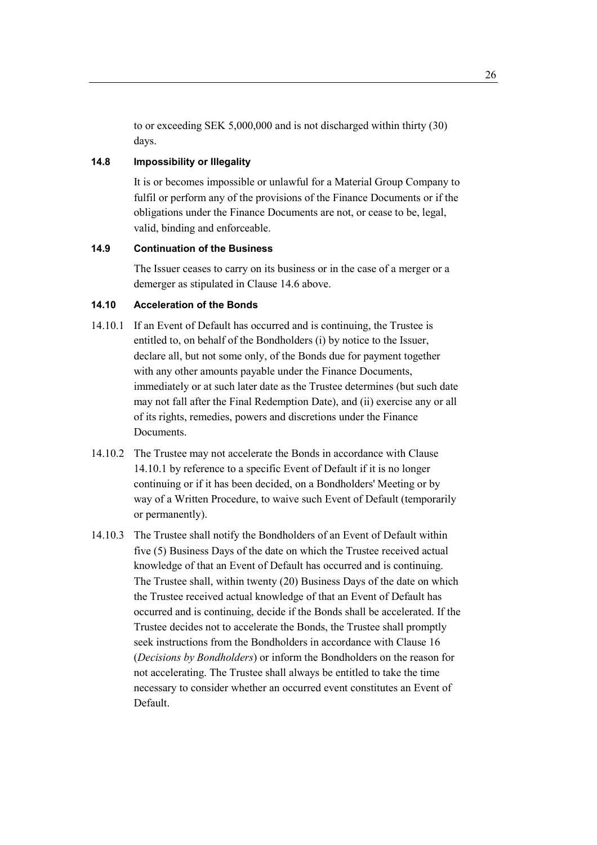to or exceeding SEK 5,000,000 and is not discharged within thirty (30) days.

## **14.8 Impossibility or Illegality**

It is or becomes impossible or unlawful for a Material Group Company to fulfil or perform any of the provisions of the Finance Documents or if the obligations under the Finance Documents are not, or cease to be, legal, valid, binding and enforceable.

## **14.9 Continuation of the Business**

The Issuer ceases to carry on its business or in the case of a merger or a demerger as stipulated in Clause 14.6 above.

## **14.10 Acceleration of the Bonds**

- 14.10.1 If an Event of Default has occurred and is continuing, the Trustee is entitled to, on behalf of the Bondholders (i) by notice to the Issuer, declare all, but not some only, of the Bonds due for payment together with any other amounts payable under the Finance Documents, immediately or at such later date as the Trustee determines (but such date may not fall after the Final Redemption Date), and (ii) exercise any or all of its rights, remedies, powers and discretions under the Finance Documents.
- 14.10.2 The Trustee may not accelerate the Bonds in accordance with Clause 14.10.1 by reference to a specific Event of Default if it is no longer continuing or if it has been decided, on a Bondholders' Meeting or by way of a Written Procedure, to waive such Event of Default (temporarily or permanently).
- 14.10.3 The Trustee shall notify the Bondholders of an Event of Default within five (5) Business Days of the date on which the Trustee received actual knowledge of that an Event of Default has occurred and is continuing. The Trustee shall, within twenty (20) Business Days of the date on which the Trustee received actual knowledge of that an Event of Default has occurred and is continuing, decide if the Bonds shall be accelerated. If the Trustee decides not to accelerate the Bonds, the Trustee shall promptly seek instructions from the Bondholders in accordance with Clause 16 (*Decisions by Bondholders*) or inform the Bondholders on the reason for not accelerating. The Trustee shall always be entitled to take the time necessary to consider whether an occurred event constitutes an Event of Default.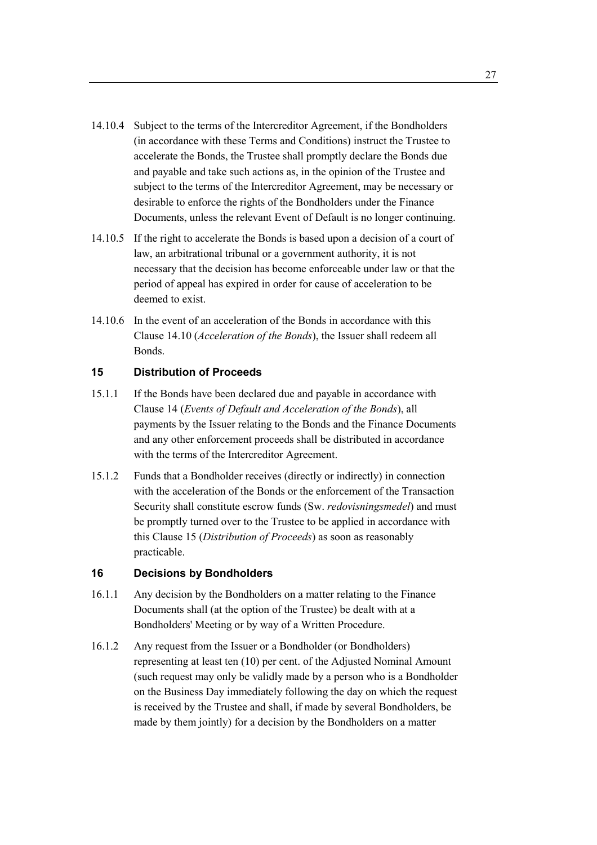- 14.10.4 Subject to the terms of the Intercreditor Agreement, if the Bondholders (in accordance with these Terms and Conditions) instruct the Trustee to accelerate the Bonds, the Trustee shall promptly declare the Bonds due and payable and take such actions as, in the opinion of the Trustee and subject to the terms of the Intercreditor Agreement, may be necessary or desirable to enforce the rights of the Bondholders under the Finance Documents, unless the relevant Event of Default is no longer continuing.
- 14.10.5 If the right to accelerate the Bonds is based upon a decision of a court of law, an arbitrational tribunal or a government authority, it is not necessary that the decision has become enforceable under law or that the period of appeal has expired in order for cause of acceleration to be deemed to exist.
- 14.10.6 In the event of an acceleration of the Bonds in accordance with this Clause 14.10 (*Acceleration of the Bonds*), the Issuer shall redeem all Bonds.

## **15 Distribution of Proceeds**

- 15.1.1 If the Bonds have been declared due and payable in accordance with Clause 14 (*Events of Default and Acceleration of the Bonds*), all payments by the Issuer relating to the Bonds and the Finance Documents and any other enforcement proceeds shall be distributed in accordance with the terms of the Intercreditor Agreement.
- 15.1.2 Funds that a Bondholder receives (directly or indirectly) in connection with the acceleration of the Bonds or the enforcement of the Transaction Security shall constitute escrow funds (Sw. *redovisningsmedel*) and must be promptly turned over to the Trustee to be applied in accordance with this Clause 15 (*Distribution of Proceeds*) as soon as reasonably practicable.

## **16 Decisions by Bondholders**

- 16.1.1 Any decision by the Bondholders on a matter relating to the Finance Documents shall (at the option of the Trustee) be dealt with at a Bondholders' Meeting or by way of a Written Procedure.
- 16.1.2 Any request from the Issuer or a Bondholder (or Bondholders) representing at least ten (10) per cent. of the Adjusted Nominal Amount (such request may only be validly made by a person who is a Bondholder on the Business Day immediately following the day on which the request is received by the Trustee and shall, if made by several Bondholders, be made by them jointly) for a decision by the Bondholders on a matter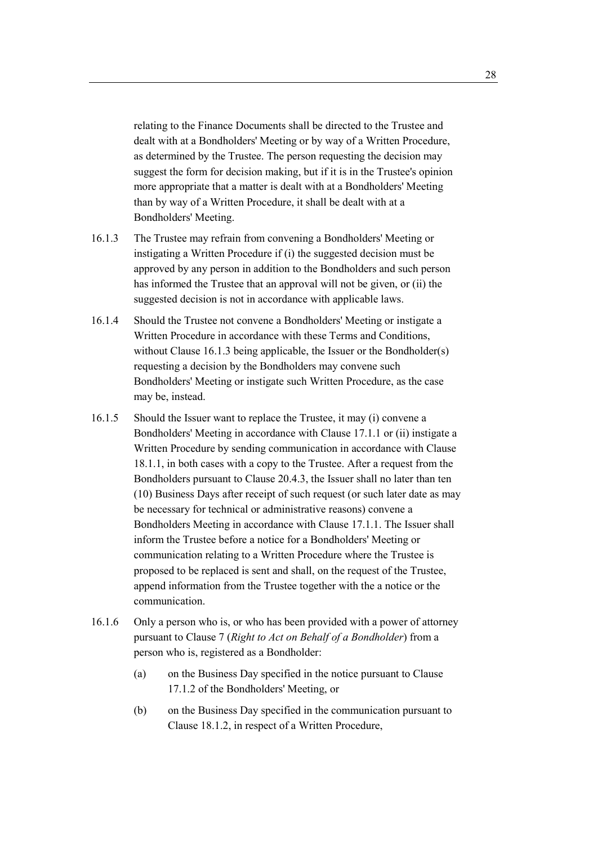relating to the Finance Documents shall be directed to the Trustee and dealt with at a Bondholders' Meeting or by way of a Written Procedure, as determined by the Trustee. The person requesting the decision may suggest the form for decision making, but if it is in the Trustee's opinion more appropriate that a matter is dealt with at a Bondholders' Meeting than by way of a Written Procedure, it shall be dealt with at a Bondholders' Meeting.

- 16.1.3 The Trustee may refrain from convening a Bondholders' Meeting or instigating a Written Procedure if (i) the suggested decision must be approved by any person in addition to the Bondholders and such person has informed the Trustee that an approval will not be given, or (ii) the suggested decision is not in accordance with applicable laws.
- 16.1.4 Should the Trustee not convene a Bondholders' Meeting or instigate a Written Procedure in accordance with these Terms and Conditions, without Clause 16.1.3 being applicable, the Issuer or the Bondholder(s) requesting a decision by the Bondholders may convene such Bondholders' Meeting or instigate such Written Procedure, as the case may be, instead.
- 16.1.5 Should the Issuer want to replace the Trustee, it may (i) convene a Bondholders' Meeting in accordance with Clause 17.1.1 or (ii) instigate a Written Procedure by sending communication in accordance with Clause 18.1.1, in both cases with a copy to the Trustee. After a request from the Bondholders pursuant to Clause 20.4.3, the Issuer shall no later than ten (10) Business Days after receipt of such request (or such later date as may be necessary for technical or administrative reasons) convene a Bondholders Meeting in accordance with Clause 17.1.1. The Issuer shall inform the Trustee before a notice for a Bondholders' Meeting or communication relating to a Written Procedure where the Trustee is proposed to be replaced is sent and shall, on the request of the Trustee, append information from the Trustee together with the a notice or the communication.
- 16.1.6 Only a person who is, or who has been provided with a power of attorney pursuant to Clause 7 (*Right to Act on Behalf of a Bondholder*) from a person who is, registered as a Bondholder:
	- (a) on the Business Day specified in the notice pursuant to Clause 17.1.2 of the Bondholders' Meeting, or
	- (b) on the Business Day specified in the communication pursuant to Clause 18.1.2, in respect of a Written Procedure,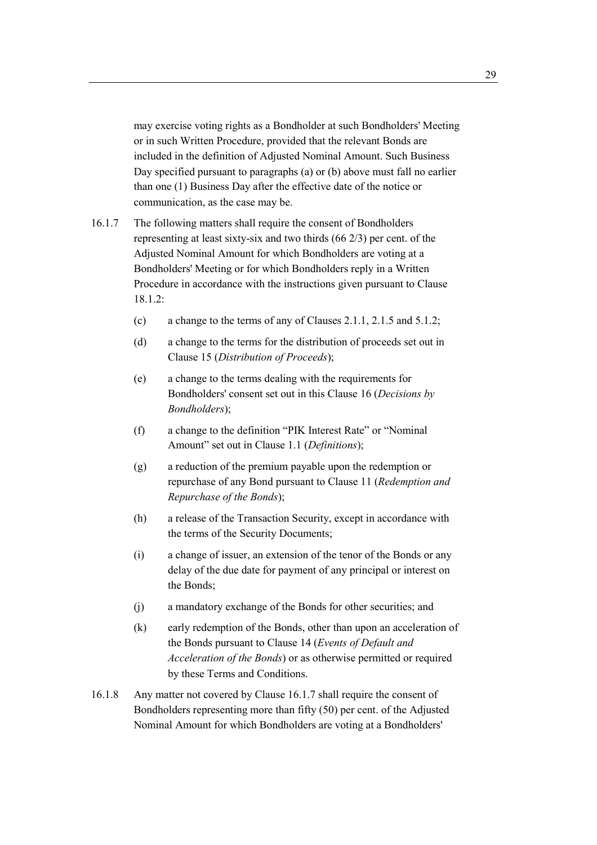may exercise voting rights as a Bondholder at such Bondholders' Meeting or in such Written Procedure, provided that the relevant Bonds are included in the definition of Adjusted Nominal Amount. Such Business Day specified pursuant to paragraphs (a) or (b) above must fall no earlier than one (1) Business Day after the effective date of the notice or communication, as the case may be.

16.1.7 The following matters shall require the consent of Bondholders representing at least sixty-six and two thirds (66 2/3) per cent. of the Adjusted Nominal Amount for which Bondholders are voting at a Bondholders' Meeting or for which Bondholders reply in a Written Procedure in accordance with the instructions given pursuant to Clause 18.1.2:

- (c) a change to the terms of any of Clauses 2.1.1, 2.1.5 and 5.1.2;
- (d) a change to the terms for the distribution of proceeds set out in Clause 15 (*Distribution of Proceeds*);
- (e) a change to the terms dealing with the requirements for Bondholders' consent set out in this Clause 16 (*Decisions by Bondholders*);
- (f) a change to the definition "PIK Interest Rate" or "Nominal Amount" set out in Clause 1.1 (*Definitions*);
- (g) a reduction of the premium payable upon the redemption or repurchase of any Bond pursuant to Clause 11 (*Redemption and Repurchase of the Bonds*);
- (h) a release of the Transaction Security, except in accordance with the terms of the Security Documents;
- (i) a change of issuer, an extension of the tenor of the Bonds or any delay of the due date for payment of any principal or interest on the Bonds;
- (j) a mandatory exchange of the Bonds for other securities; and
- (k) early redemption of the Bonds, other than upon an acceleration of the Bonds pursuant to Clause 14 (*Events of Default and Acceleration of the Bonds*) or as otherwise permitted or required by these Terms and Conditions.
- 16.1.8 Any matter not covered by Clause 16.1.7 shall require the consent of Bondholders representing more than fifty (50) per cent. of the Adjusted Nominal Amount for which Bondholders are voting at a Bondholders'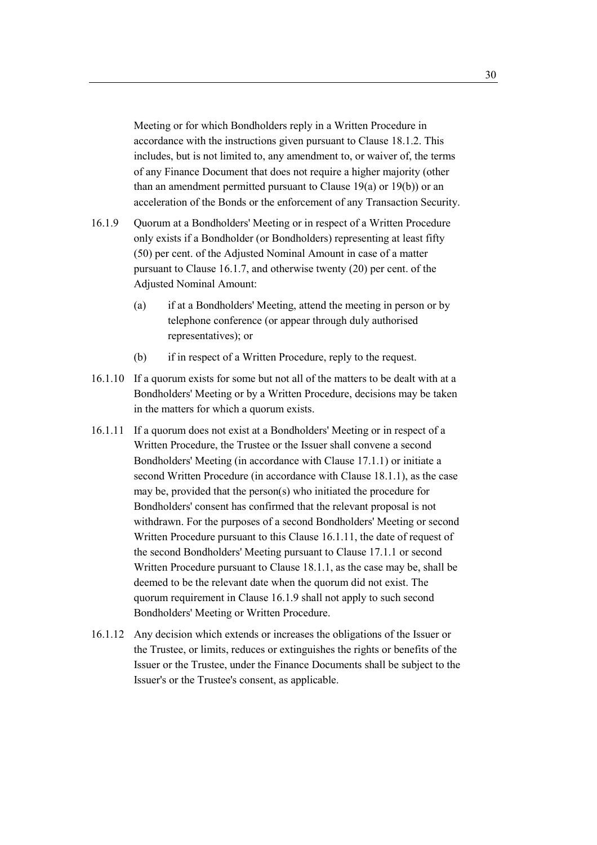Meeting or for which Bondholders reply in a Written Procedure in accordance with the instructions given pursuant to Clause 18.1.2. This includes, but is not limited to, any amendment to, or waiver of, the terms of any Finance Document that does not require a higher majority (other than an amendment permitted pursuant to Clause 19(a) or 19(b)) or an acceleration of the Bonds or the enforcement of any Transaction Security.

- 16.1.9 Quorum at a Bondholders' Meeting or in respect of a Written Procedure only exists if a Bondholder (or Bondholders) representing at least fifty (50) per cent. of the Adjusted Nominal Amount in case of a matter pursuant to Clause 16.1.7, and otherwise twenty (20) per cent. of the Adjusted Nominal Amount:
	- (a) if at a Bondholders' Meeting, attend the meeting in person or by telephone conference (or appear through duly authorised representatives); or
	- (b) if in respect of a Written Procedure, reply to the request.
- 16.1.10 If a quorum exists for some but not all of the matters to be dealt with at a Bondholders' Meeting or by a Written Procedure, decisions may be taken in the matters for which a quorum exists.
- 16.1.11 If a quorum does not exist at a Bondholders' Meeting or in respect of a Written Procedure, the Trustee or the Issuer shall convene a second Bondholders' Meeting (in accordance with Clause 17.1.1) or initiate a second Written Procedure (in accordance with Clause 18.1.1), as the case may be, provided that the person(s) who initiated the procedure for Bondholders' consent has confirmed that the relevant proposal is not withdrawn. For the purposes of a second Bondholders' Meeting or second Written Procedure pursuant to this Clause 16.1.11, the date of request of the second Bondholders' Meeting pursuant to Clause 17.1.1 or second Written Procedure pursuant to Clause 18.1.1, as the case may be, shall be deemed to be the relevant date when the quorum did not exist. The quorum requirement in Clause 16.1.9 shall not apply to such second Bondholders' Meeting or Written Procedure.
- 16.1.12 Any decision which extends or increases the obligations of the Issuer or the Trustee, or limits, reduces or extinguishes the rights or benefits of the Issuer or the Trustee, under the Finance Documents shall be subject to the Issuer's or the Trustee's consent, as applicable.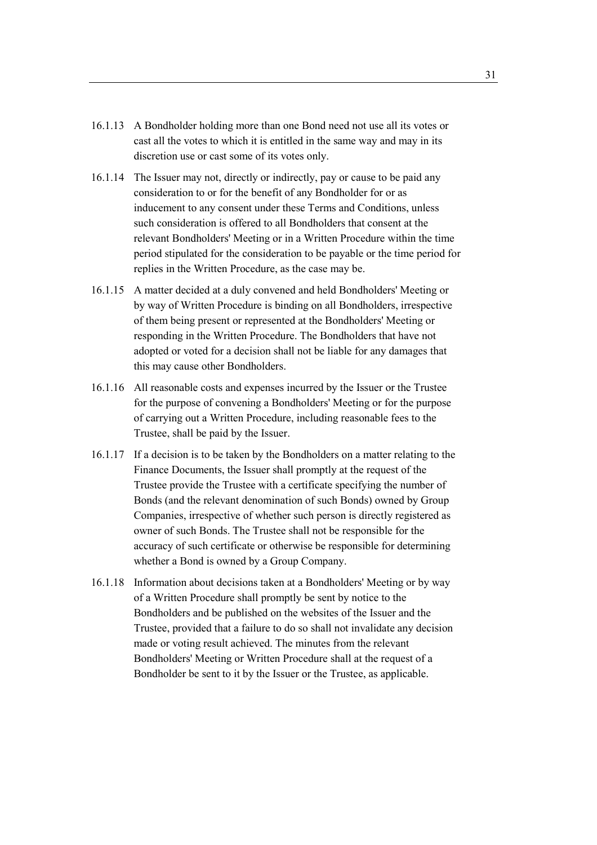- 16.1.13 A Bondholder holding more than one Bond need not use all its votes or cast all the votes to which it is entitled in the same way and may in its discretion use or cast some of its votes only.
- 16.1.14 The Issuer may not, directly or indirectly, pay or cause to be paid any consideration to or for the benefit of any Bondholder for or as inducement to any consent under these Terms and Conditions, unless such consideration is offered to all Bondholders that consent at the relevant Bondholders' Meeting or in a Written Procedure within the time period stipulated for the consideration to be payable or the time period for replies in the Written Procedure, as the case may be.
- 16.1.15 A matter decided at a duly convened and held Bondholders' Meeting or by way of Written Procedure is binding on all Bondholders, irrespective of them being present or represented at the Bondholders' Meeting or responding in the Written Procedure. The Bondholders that have not adopted or voted for a decision shall not be liable for any damages that this may cause other Bondholders.
- 16.1.16 All reasonable costs and expenses incurred by the Issuer or the Trustee for the purpose of convening a Bondholders' Meeting or for the purpose of carrying out a Written Procedure, including reasonable fees to the Trustee, shall be paid by the Issuer.
- 16.1.17 If a decision is to be taken by the Bondholders on a matter relating to the Finance Documents, the Issuer shall promptly at the request of the Trustee provide the Trustee with a certificate specifying the number of Bonds (and the relevant denomination of such Bonds) owned by Group Companies, irrespective of whether such person is directly registered as owner of such Bonds. The Trustee shall not be responsible for the accuracy of such certificate or otherwise be responsible for determining whether a Bond is owned by a Group Company.
- 16.1.18 Information about decisions taken at a Bondholders' Meeting or by way of a Written Procedure shall promptly be sent by notice to the Bondholders and be published on the websites of the Issuer and the Trustee, provided that a failure to do so shall not invalidate any decision made or voting result achieved. The minutes from the relevant Bondholders' Meeting or Written Procedure shall at the request of a Bondholder be sent to it by the Issuer or the Trustee, as applicable.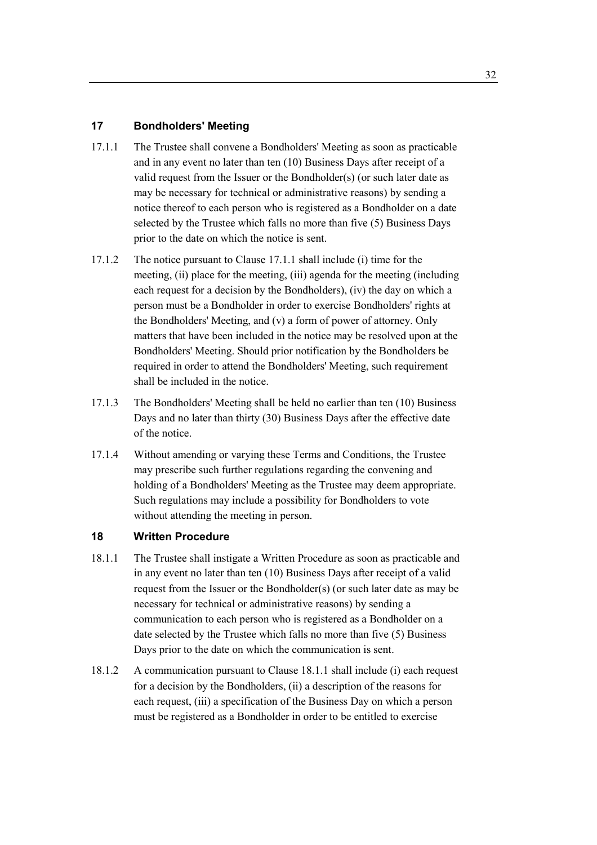## **17 Bondholders' Meeting**

- 17.1.1 The Trustee shall convene a Bondholders' Meeting as soon as practicable and in any event no later than ten (10) Business Days after receipt of a valid request from the Issuer or the Bondholder(s) (or such later date as may be necessary for technical or administrative reasons) by sending a notice thereof to each person who is registered as a Bondholder on a date selected by the Trustee which falls no more than five (5) Business Days prior to the date on which the notice is sent.
- 17.1.2 The notice pursuant to Clause 17.1.1 shall include (i) time for the meeting, (ii) place for the meeting, (iii) agenda for the meeting (including each request for a decision by the Bondholders), (iv) the day on which a person must be a Bondholder in order to exercise Bondholders' rights at the Bondholders' Meeting, and (v) a form of power of attorney. Only matters that have been included in the notice may be resolved upon at the Bondholders' Meeting. Should prior notification by the Bondholders be required in order to attend the Bondholders' Meeting, such requirement shall be included in the notice.
- 17.1.3 The Bondholders' Meeting shall be held no earlier than ten (10) Business Days and no later than thirty (30) Business Days after the effective date of the notice.
- 17.1.4 Without amending or varying these Terms and Conditions, the Trustee may prescribe such further regulations regarding the convening and holding of a Bondholders' Meeting as the Trustee may deem appropriate. Such regulations may include a possibility for Bondholders to vote without attending the meeting in person.

## **18 Written Procedure**

- 18.1.1 The Trustee shall instigate a Written Procedure as soon as practicable and in any event no later than ten (10) Business Days after receipt of a valid request from the Issuer or the Bondholder(s) (or such later date as may be necessary for technical or administrative reasons) by sending a communication to each person who is registered as a Bondholder on a date selected by the Trustee which falls no more than five (5) Business Days prior to the date on which the communication is sent.
- 18.1.2 A communication pursuant to Clause 18.1.1 shall include (i) each request for a decision by the Bondholders, (ii) a description of the reasons for each request, (iii) a specification of the Business Day on which a person must be registered as a Bondholder in order to be entitled to exercise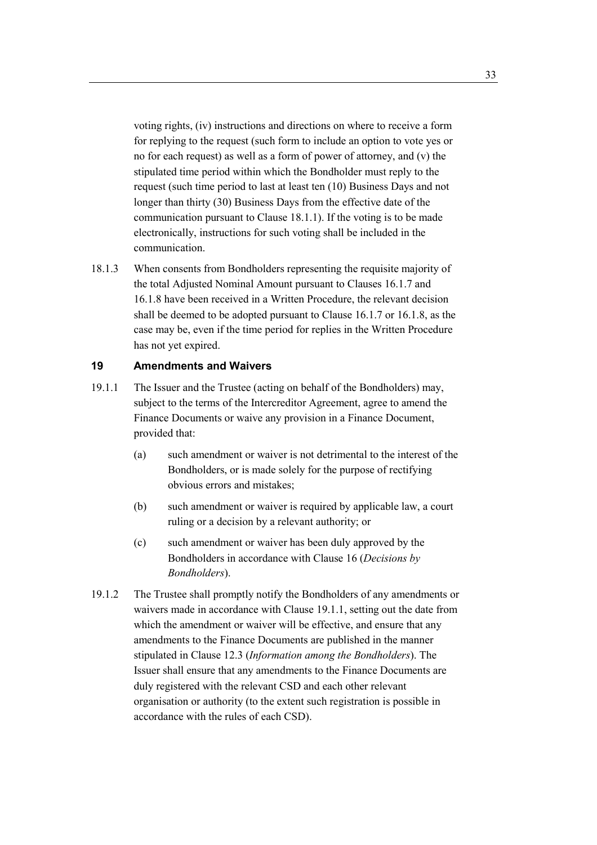voting rights, (iv) instructions and directions on where to receive a form for replying to the request (such form to include an option to vote yes or no for each request) as well as a form of power of attorney, and (v) the stipulated time period within which the Bondholder must reply to the request (such time period to last at least ten (10) Business Days and not longer than thirty (30) Business Days from the effective date of the communication pursuant to Clause 18.1.1). If the voting is to be made electronically, instructions for such voting shall be included in the communication.

18.1.3 When consents from Bondholders representing the requisite majority of the total Adjusted Nominal Amount pursuant to Clauses 16.1.7 and 16.1.8 have been received in a Written Procedure, the relevant decision shall be deemed to be adopted pursuant to Clause 16.1.7 or 16.1.8, as the case may be, even if the time period for replies in the Written Procedure has not yet expired.

#### **19 Amendments and Waivers**

- 19.1.1 The Issuer and the Trustee (acting on behalf of the Bondholders) may, subject to the terms of the Intercreditor Agreement, agree to amend the Finance Documents or waive any provision in a Finance Document, provided that:
	- (a) such amendment or waiver is not detrimental to the interest of the Bondholders, or is made solely for the purpose of rectifying obvious errors and mistakes;
	- (b) such amendment or waiver is required by applicable law, a court ruling or a decision by a relevant authority; or
	- (c) such amendment or waiver has been duly approved by the Bondholders in accordance with Clause 16 (*Decisions by Bondholders*).
- 19.1.2 The Trustee shall promptly notify the Bondholders of any amendments or waivers made in accordance with Clause 19.1.1, setting out the date from which the amendment or waiver will be effective, and ensure that any amendments to the Finance Documents are published in the manner stipulated in Clause 12.3 (*Information among the Bondholders*). The Issuer shall ensure that any amendments to the Finance Documents are duly registered with the relevant CSD and each other relevant organisation or authority (to the extent such registration is possible in accordance with the rules of each CSD).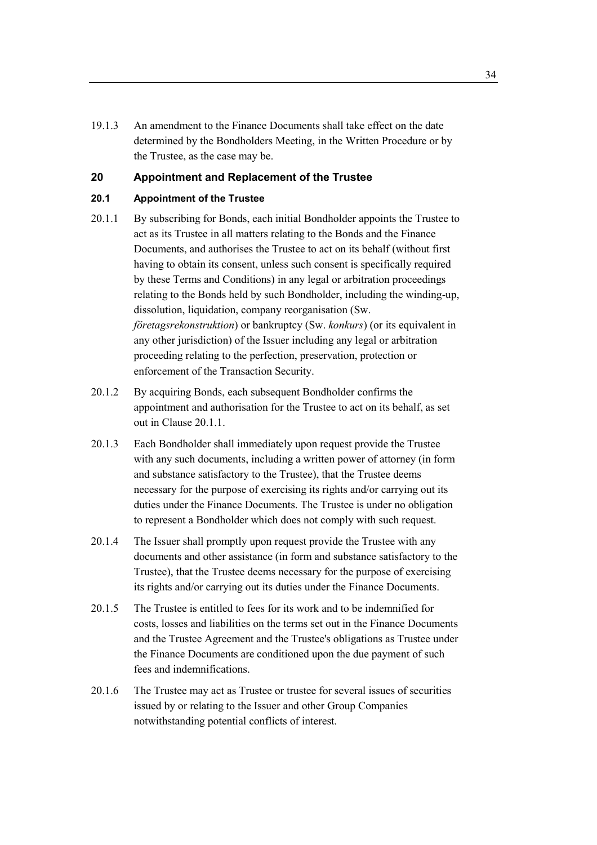19.1.3 An amendment to the Finance Documents shall take effect on the date determined by the Bondholders Meeting, in the Written Procedure or by the Trustee, as the case may be.

#### **20 Appointment and Replacement of the Trustee**

## **20.1 Appointment of the Trustee**

- 20.1.1 By subscribing for Bonds, each initial Bondholder appoints the Trustee to act as its Trustee in all matters relating to the Bonds and the Finance Documents, and authorises the Trustee to act on its behalf (without first having to obtain its consent, unless such consent is specifically required by these Terms and Conditions) in any legal or arbitration proceedings relating to the Bonds held by such Bondholder, including the winding-up, dissolution, liquidation, company reorganisation (Sw. *företagsrekonstruktion*) or bankruptcy (Sw. *konkurs*) (or its equivalent in any other jurisdiction) of the Issuer including any legal or arbitration proceeding relating to the perfection, preservation, protection or enforcement of the Transaction Security.
- 20.1.2 By acquiring Bonds, each subsequent Bondholder confirms the appointment and authorisation for the Trustee to act on its behalf, as set out in Clause 20.1.1.
- 20.1.3 Each Bondholder shall immediately upon request provide the Trustee with any such documents, including a written power of attorney (in form and substance satisfactory to the Trustee), that the Trustee deems necessary for the purpose of exercising its rights and/or carrying out its duties under the Finance Documents. The Trustee is under no obligation to represent a Bondholder which does not comply with such request.
- 20.1.4 The Issuer shall promptly upon request provide the Trustee with any documents and other assistance (in form and substance satisfactory to the Trustee), that the Trustee deems necessary for the purpose of exercising its rights and/or carrying out its duties under the Finance Documents.
- 20.1.5 The Trustee is entitled to fees for its work and to be indemnified for costs, losses and liabilities on the terms set out in the Finance Documents and the Trustee Agreement and the Trustee's obligations as Trustee under the Finance Documents are conditioned upon the due payment of such fees and indemnifications.
- 20.1.6 The Trustee may act as Trustee or trustee for several issues of securities issued by or relating to the Issuer and other Group Companies notwithstanding potential conflicts of interest.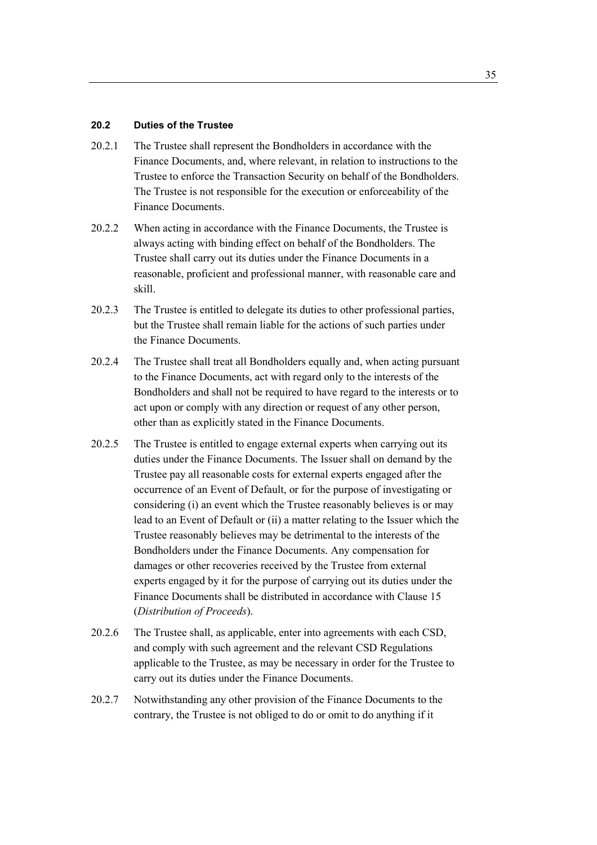#### **20.2 Duties of the Trustee**

- 20.2.1 The Trustee shall represent the Bondholders in accordance with the Finance Documents, and, where relevant, in relation to instructions to the Trustee to enforce the Transaction Security on behalf of the Bondholders. The Trustee is not responsible for the execution or enforceability of the Finance Documents.
- 20.2.2 When acting in accordance with the Finance Documents, the Trustee is always acting with binding effect on behalf of the Bondholders. The Trustee shall carry out its duties under the Finance Documents in a reasonable, proficient and professional manner, with reasonable care and skill.
- 20.2.3 The Trustee is entitled to delegate its duties to other professional parties, but the Trustee shall remain liable for the actions of such parties under the Finance Documents.
- 20.2.4 The Trustee shall treat all Bondholders equally and, when acting pursuant to the Finance Documents, act with regard only to the interests of the Bondholders and shall not be required to have regard to the interests or to act upon or comply with any direction or request of any other person, other than as explicitly stated in the Finance Documents.
- 20.2.5 The Trustee is entitled to engage external experts when carrying out its duties under the Finance Documents. The Issuer shall on demand by the Trustee pay all reasonable costs for external experts engaged after the occurrence of an Event of Default, or for the purpose of investigating or considering (i) an event which the Trustee reasonably believes is or may lead to an Event of Default or (ii) a matter relating to the Issuer which the Trustee reasonably believes may be detrimental to the interests of the Bondholders under the Finance Documents. Any compensation for damages or other recoveries received by the Trustee from external experts engaged by it for the purpose of carrying out its duties under the Finance Documents shall be distributed in accordance with Clause 15 (*Distribution of Proceeds*).
- 20.2.6 The Trustee shall, as applicable, enter into agreements with each CSD, and comply with such agreement and the relevant CSD Regulations applicable to the Trustee, as may be necessary in order for the Trustee to carry out its duties under the Finance Documents.
- 20.2.7 Notwithstanding any other provision of the Finance Documents to the contrary, the Trustee is not obliged to do or omit to do anything if it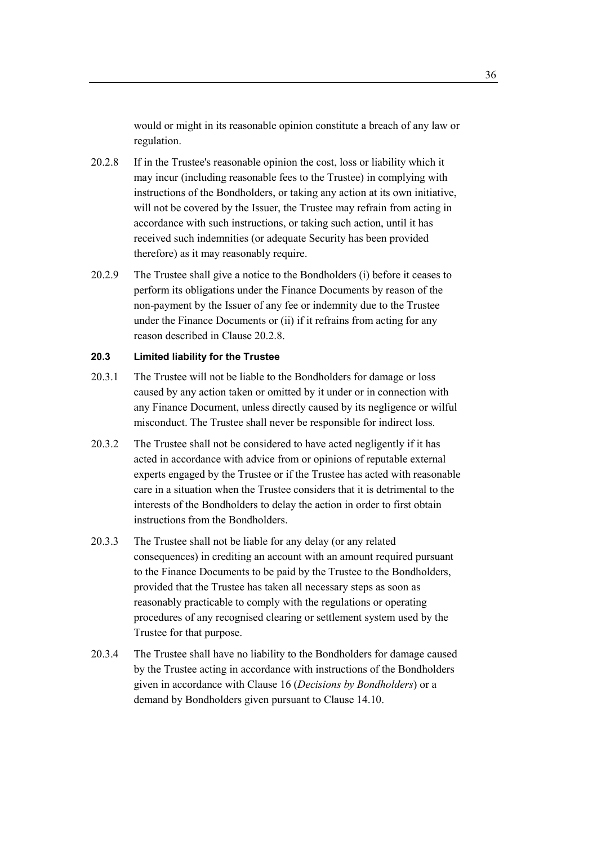would or might in its reasonable opinion constitute a breach of any law or regulation.

- 20.2.8 If in the Trustee's reasonable opinion the cost, loss or liability which it may incur (including reasonable fees to the Trustee) in complying with instructions of the Bondholders, or taking any action at its own initiative, will not be covered by the Issuer, the Trustee may refrain from acting in accordance with such instructions, or taking such action, until it has received such indemnities (or adequate Security has been provided therefore) as it may reasonably require.
- 20.2.9 The Trustee shall give a notice to the Bondholders (i) before it ceases to perform its obligations under the Finance Documents by reason of the non-payment by the Issuer of any fee or indemnity due to the Trustee under the Finance Documents or (ii) if it refrains from acting for any reason described in Clause 20.2.8.

# **20.3 Limited liability for the Trustee**

- 20.3.1 The Trustee will not be liable to the Bondholders for damage or loss caused by any action taken or omitted by it under or in connection with any Finance Document, unless directly caused by its negligence or wilful misconduct. The Trustee shall never be responsible for indirect loss.
- 20.3.2 The Trustee shall not be considered to have acted negligently if it has acted in accordance with advice from or opinions of reputable external experts engaged by the Trustee or if the Trustee has acted with reasonable care in a situation when the Trustee considers that it is detrimental to the interests of the Bondholders to delay the action in order to first obtain instructions from the Bondholders.
- 20.3.3 The Trustee shall not be liable for any delay (or any related consequences) in crediting an account with an amount required pursuant to the Finance Documents to be paid by the Trustee to the Bondholders, provided that the Trustee has taken all necessary steps as soon as reasonably practicable to comply with the regulations or operating procedures of any recognised clearing or settlement system used by the Trustee for that purpose.
- 20.3.4 The Trustee shall have no liability to the Bondholders for damage caused by the Trustee acting in accordance with instructions of the Bondholders given in accordance with Clause 16 (*Decisions by Bondholders*) or a demand by Bondholders given pursuant to Clause 14.10.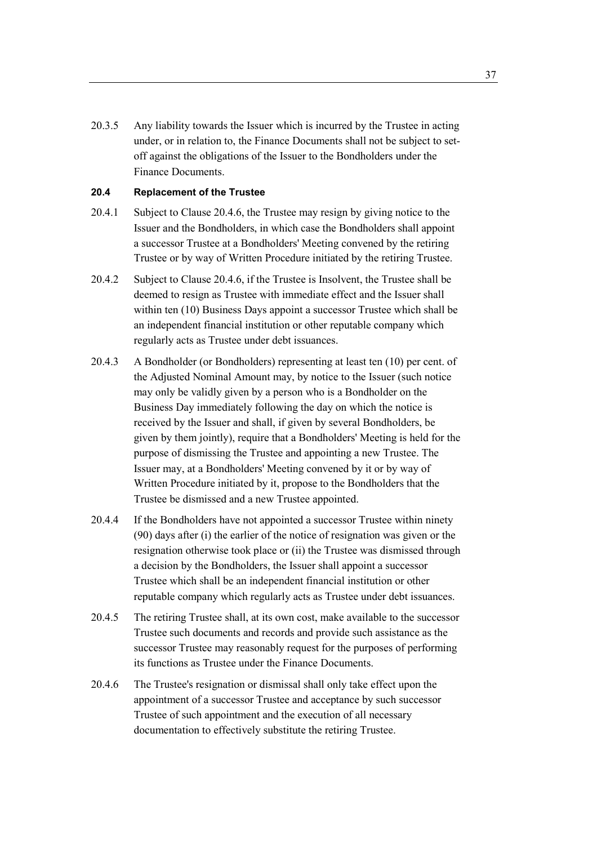20.3.5 Any liability towards the Issuer which is incurred by the Trustee in acting under, or in relation to, the Finance Documents shall not be subject to setoff against the obligations of the Issuer to the Bondholders under the Finance Documents.

## **20.4 Replacement of the Trustee**

- 20.4.1 Subject to Clause 20.4.6, the Trustee may resign by giving notice to the Issuer and the Bondholders, in which case the Bondholders shall appoint a successor Trustee at a Bondholders' Meeting convened by the retiring Trustee or by way of Written Procedure initiated by the retiring Trustee.
- 20.4.2 Subject to Clause 20.4.6, if the Trustee is Insolvent, the Trustee shall be deemed to resign as Trustee with immediate effect and the Issuer shall within ten (10) Business Days appoint a successor Trustee which shall be an independent financial institution or other reputable company which regularly acts as Trustee under debt issuances.
- 20.4.3 A Bondholder (or Bondholders) representing at least ten (10) per cent. of the Adjusted Nominal Amount may, by notice to the Issuer (such notice may only be validly given by a person who is a Bondholder on the Business Day immediately following the day on which the notice is received by the Issuer and shall, if given by several Bondholders, be given by them jointly), require that a Bondholders' Meeting is held for the purpose of dismissing the Trustee and appointing a new Trustee. The Issuer may, at a Bondholders' Meeting convened by it or by way of Written Procedure initiated by it, propose to the Bondholders that the Trustee be dismissed and a new Trustee appointed.
- 20.4.4 If the Bondholders have not appointed a successor Trustee within ninety (90) days after (i) the earlier of the notice of resignation was given or the resignation otherwise took place or (ii) the Trustee was dismissed through a decision by the Bondholders, the Issuer shall appoint a successor Trustee which shall be an independent financial institution or other reputable company which regularly acts as Trustee under debt issuances.
- 20.4.5 The retiring Trustee shall, at its own cost, make available to the successor Trustee such documents and records and provide such assistance as the successor Trustee may reasonably request for the purposes of performing its functions as Trustee under the Finance Documents.
- 20.4.6 The Trustee's resignation or dismissal shall only take effect upon the appointment of a successor Trustee and acceptance by such successor Trustee of such appointment and the execution of all necessary documentation to effectively substitute the retiring Trustee.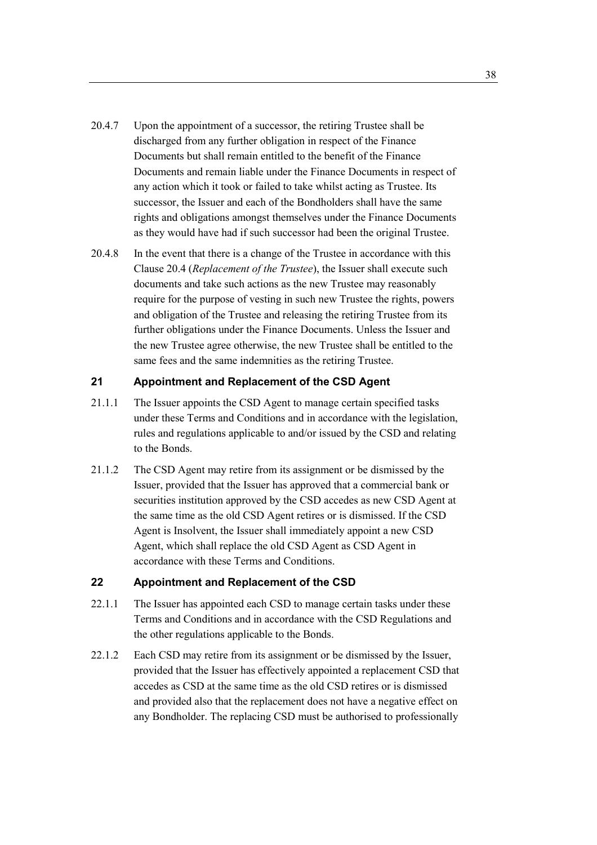- 20.4.7 Upon the appointment of a successor, the retiring Trustee shall be discharged from any further obligation in respect of the Finance Documents but shall remain entitled to the benefit of the Finance Documents and remain liable under the Finance Documents in respect of any action which it took or failed to take whilst acting as Trustee. Its successor, the Issuer and each of the Bondholders shall have the same rights and obligations amongst themselves under the Finance Documents as they would have had if such successor had been the original Trustee.
- 20.4.8 In the event that there is a change of the Trustee in accordance with this Clause 20.4 (*Replacement of the Trustee*), the Issuer shall execute such documents and take such actions as the new Trustee may reasonably require for the purpose of vesting in such new Trustee the rights, powers and obligation of the Trustee and releasing the retiring Trustee from its further obligations under the Finance Documents. Unless the Issuer and the new Trustee agree otherwise, the new Trustee shall be entitled to the same fees and the same indemnities as the retiring Trustee.

#### **21 Appointment and Replacement of the CSD Agent**

- 21.1.1 The Issuer appoints the CSD Agent to manage certain specified tasks under these Terms and Conditions and in accordance with the legislation, rules and regulations applicable to and/or issued by the CSD and relating to the Bonds.
- 21.1.2 The CSD Agent may retire from its assignment or be dismissed by the Issuer, provided that the Issuer has approved that a commercial bank or securities institution approved by the CSD accedes as new CSD Agent at the same time as the old CSD Agent retires or is dismissed. If the CSD Agent is Insolvent, the Issuer shall immediately appoint a new CSD Agent, which shall replace the old CSD Agent as CSD Agent in accordance with these Terms and Conditions.

## **22 Appointment and Replacement of the CSD**

- 22.1.1 The Issuer has appointed each CSD to manage certain tasks under these Terms and Conditions and in accordance with the CSD Regulations and the other regulations applicable to the Bonds.
- 22.1.2 Each CSD may retire from its assignment or be dismissed by the Issuer, provided that the Issuer has effectively appointed a replacement CSD that accedes as CSD at the same time as the old CSD retires or is dismissed and provided also that the replacement does not have a negative effect on any Bondholder. The replacing CSD must be authorised to professionally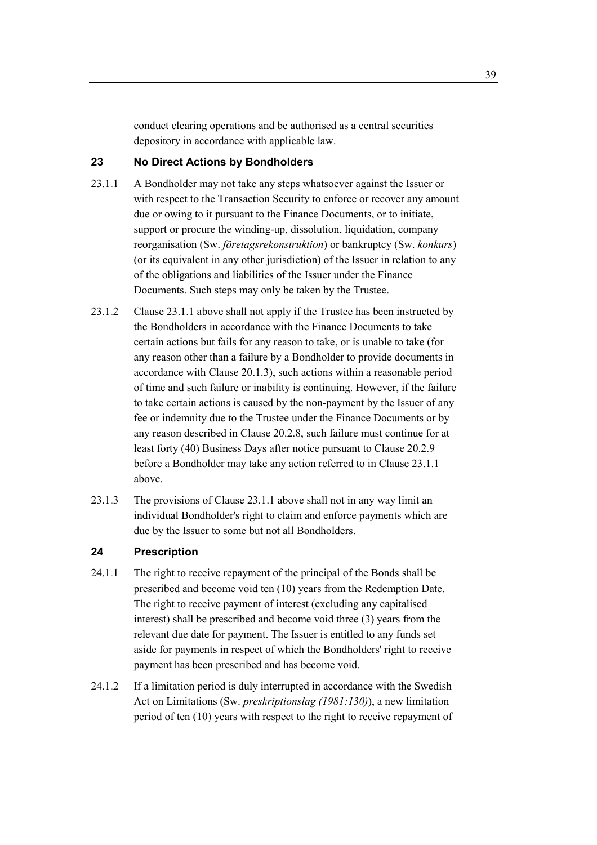conduct clearing operations and be authorised as a central securities depository in accordance with applicable law.

# **23 No Direct Actions by Bondholders**

- 23.1.1 A Bondholder may not take any steps whatsoever against the Issuer or with respect to the Transaction Security to enforce or recover any amount due or owing to it pursuant to the Finance Documents, or to initiate, support or procure the winding-up, dissolution, liquidation, company reorganisation (Sw. *företagsrekonstruktion*) or bankruptcy (Sw. *konkurs*) (or its equivalent in any other jurisdiction) of the Issuer in relation to any of the obligations and liabilities of the Issuer under the Finance Documents. Such steps may only be taken by the Trustee.
- 23.1.2 Clause 23.1.1 above shall not apply if the Trustee has been instructed by the Bondholders in accordance with the Finance Documents to take certain actions but fails for any reason to take, or is unable to take (for any reason other than a failure by a Bondholder to provide documents in accordance with Clause 20.1.3), such actions within a reasonable period of time and such failure or inability is continuing. However, if the failure to take certain actions is caused by the non-payment by the Issuer of any fee or indemnity due to the Trustee under the Finance Documents or by any reason described in Clause 20.2.8, such failure must continue for at least forty (40) Business Days after notice pursuant to Clause 20.2.9 before a Bondholder may take any action referred to in Clause 23.1.1 above.
- 23.1.3 The provisions of Clause 23.1.1 above shall not in any way limit an individual Bondholder's right to claim and enforce payments which are due by the Issuer to some but not all Bondholders.

# **24 Prescription**

- 24.1.1 The right to receive repayment of the principal of the Bonds shall be prescribed and become void ten (10) years from the Redemption Date. The right to receive payment of interest (excluding any capitalised interest) shall be prescribed and become void three (3) years from the relevant due date for payment. The Issuer is entitled to any funds set aside for payments in respect of which the Bondholders' right to receive payment has been prescribed and has become void.
- 24.1.2 If a limitation period is duly interrupted in accordance with the Swedish Act on Limitations (Sw. *preskriptionslag (1981:130)*), a new limitation period of ten (10) years with respect to the right to receive repayment of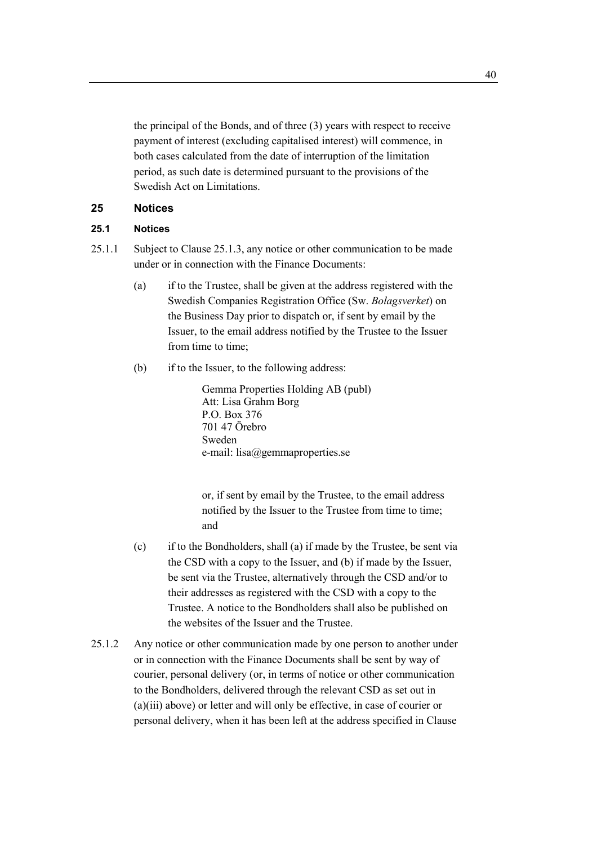the principal of the Bonds, and of three (3) years with respect to receive payment of interest (excluding capitalised interest) will commence, in both cases calculated from the date of interruption of the limitation period, as such date is determined pursuant to the provisions of the Swedish Act on Limitations.

## **25 Notices**

## **25.1 Notices**

- 25.1.1 Subject to Clause 25.1.3, any notice or other communication to be made under or in connection with the Finance Documents:
	- (a) if to the Trustee, shall be given at the address registered with the Swedish Companies Registration Office (Sw. *Bolagsverket*) on the Business Day prior to dispatch or, if sent by email by the Issuer, to the email address notified by the Trustee to the Issuer from time to time;
	- (b) if to the Issuer, to the following address:

Gemma Properties Holding AB (publ) Att: Lisa Grahm Borg P.O. Box 376 701 47 Örebro Sweden e-mail: lisa@gemmaproperties.se

or, if sent by email by the Trustee, to the email address notified by the Issuer to the Trustee from time to time; and

- (c) if to the Bondholders, shall (a) if made by the Trustee, be sent via the CSD with a copy to the Issuer, and (b) if made by the Issuer, be sent via the Trustee, alternatively through the CSD and/or to their addresses as registered with the CSD with a copy to the Trustee. A notice to the Bondholders shall also be published on the websites of the Issuer and the Trustee.
- 25.1.2 Any notice or other communication made by one person to another under or in connection with the Finance Documents shall be sent by way of courier, personal delivery (or, in terms of notice or other communication to the Bondholders, delivered through the relevant CSD as set out in (a)(iii) above) or letter and will only be effective, in case of courier or personal delivery, when it has been left at the address specified in Clause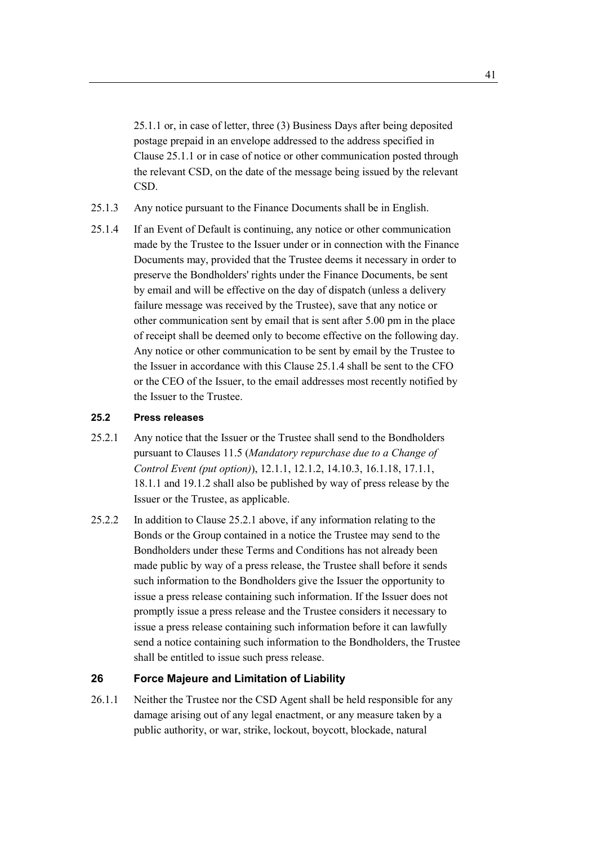25.1.1 or, in case of letter, three (3) Business Days after being deposited postage prepaid in an envelope addressed to the address specified in Clause 25.1.1 or in case of notice or other communication posted through the relevant CSD, on the date of the message being issued by the relevant CSD.

- 25.1.3 Any notice pursuant to the Finance Documents shall be in English.
- 25.1.4 If an Event of Default is continuing, any notice or other communication made by the Trustee to the Issuer under or in connection with the Finance Documents may, provided that the Trustee deems it necessary in order to preserve the Bondholders' rights under the Finance Documents, be sent by email and will be effective on the day of dispatch (unless a delivery failure message was received by the Trustee), save that any notice or other communication sent by email that is sent after 5.00 pm in the place of receipt shall be deemed only to become effective on the following day. Any notice or other communication to be sent by email by the Trustee to the Issuer in accordance with this Clause 25.1.4 shall be sent to the CFO or the CEO of the Issuer, to the email addresses most recently notified by the Issuer to the Trustee.

#### **25.2 Press releases**

- 25.2.1 Any notice that the Issuer or the Trustee shall send to the Bondholders pursuant to Clauses 11.5 (*Mandatory repurchase due to a Change of Control Event (put option)*), 12.1.1, 12.1.2, 14.10.3, 16.1.18, 17.1.1, 18.1.1 and 19.1.2 shall also be published by way of press release by the Issuer or the Trustee, as applicable.
- 25.2.2 In addition to Clause 25.2.1 above, if any information relating to the Bonds or the Group contained in a notice the Trustee may send to the Bondholders under these Terms and Conditions has not already been made public by way of a press release, the Trustee shall before it sends such information to the Bondholders give the Issuer the opportunity to issue a press release containing such information. If the Issuer does not promptly issue a press release and the Trustee considers it necessary to issue a press release containing such information before it can lawfully send a notice containing such information to the Bondholders, the Trustee shall be entitled to issue such press release.

#### **26 Force Majeure and Limitation of Liability**

26.1.1 Neither the Trustee nor the CSD Agent shall be held responsible for any damage arising out of any legal enactment, or any measure taken by a public authority, or war, strike, lockout, boycott, blockade, natural